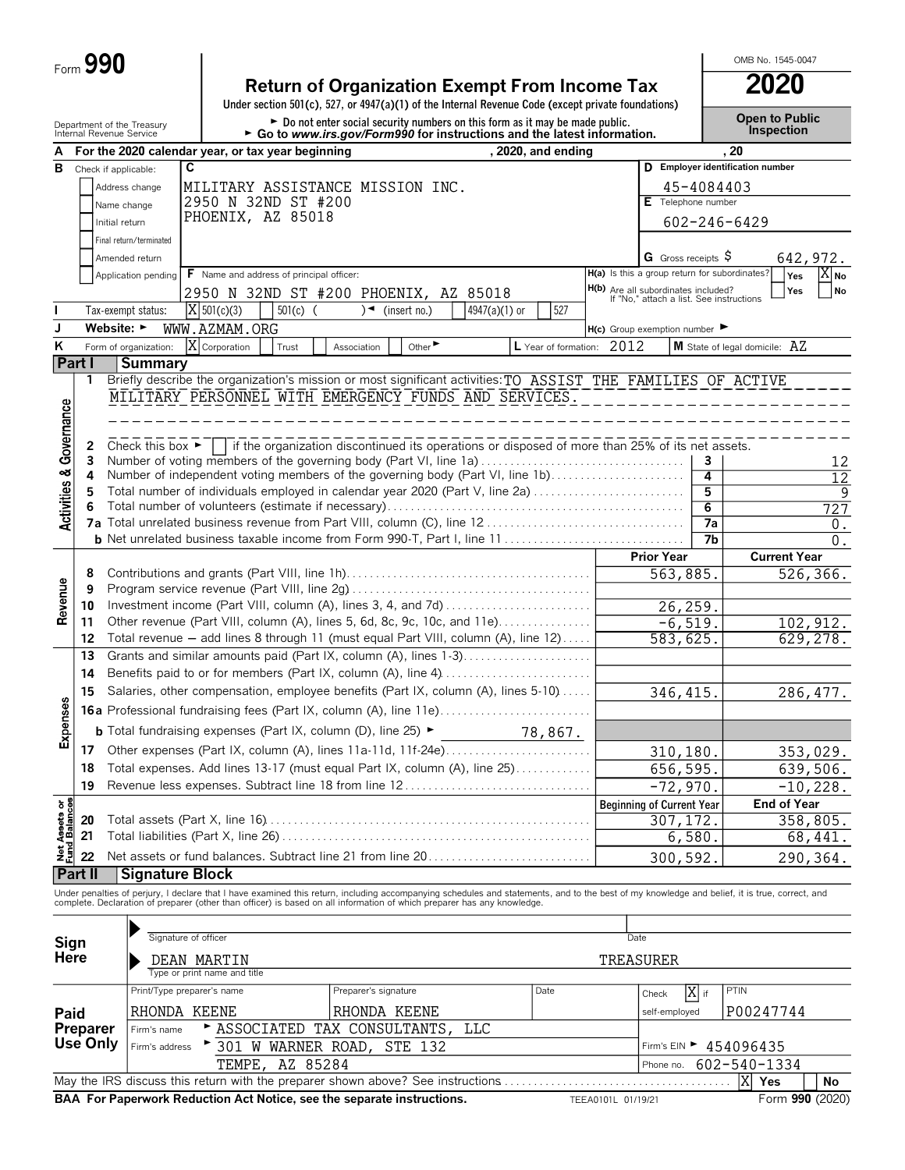| Form $990$ |  |  |  |  |
|------------|--|--|--|--|
|------------|--|--|--|--|

## Return of Organization Exempt From Income Tax | 2020

Under section 501(c), 527, or 4947(a)(1) of the Internal Revenue Code (except private foundations)

Department of the Treasury **Depent to Public**<br>Internal Revenue Service **Depent to Public Control of Convergence Convergence Convergence Convergence Convergence**<br>Internal Revenue Service **Propertion** 

OMB No. 1545-0047

|                                        |                                | iliteli idi Meveliue Jervice         |                                                                                                                                                                                                                                   |                      | $\sim$ Go to www.irs.gov/Formally for instructions and the latest imormation.                   |                           |                                                                                 |                    |                                  |
|----------------------------------------|--------------------------------|--------------------------------------|-----------------------------------------------------------------------------------------------------------------------------------------------------------------------------------------------------------------------------------|----------------------|-------------------------------------------------------------------------------------------------|---------------------------|---------------------------------------------------------------------------------|--------------------|----------------------------------|
| A                                      |                                |                                      | For the 2020 calendar year, or tax year beginning                                                                                                                                                                                 |                      |                                                                                                 | , 2020, and ending        |                                                                                 | . 20               |                                  |
| в                                      | Check if applicable:           |                                      | C                                                                                                                                                                                                                                 |                      |                                                                                                 |                           |                                                                                 |                    | D Employer identification number |
|                                        |                                | Address change                       | MILITARY ASSISTANCE MISSION INC.                                                                                                                                                                                                  |                      |                                                                                                 |                           |                                                                                 | 45-4084403         |                                  |
|                                        |                                | Name change                          | 2950 N 32ND ST #200                                                                                                                                                                                                               |                      |                                                                                                 |                           |                                                                                 | E Telephone number |                                  |
|                                        |                                | Initial return                       | PHOENIX, AZ 85018                                                                                                                                                                                                                 |                      |                                                                                                 |                           |                                                                                 | 602-246-6429       |                                  |
|                                        |                                | Final return/terminated              |                                                                                                                                                                                                                                   |                      |                                                                                                 |                           |                                                                                 |                    |                                  |
|                                        |                                | Amended return                       |                                                                                                                                                                                                                                   |                      |                                                                                                 |                           | G Gross receipts \$                                                             |                    | 642, 972.                        |
|                                        |                                | Application pending                  | F Name and address of principal officer:                                                                                                                                                                                          |                      |                                                                                                 |                           | H(a) Is this a group return for subordinates?                                   |                    | Yes<br>∣X∣ No                    |
|                                        |                                |                                      |                                                                                                                                                                                                                                   |                      |                                                                                                 |                           |                                                                                 |                    | Yes<br>  No                      |
|                                        |                                |                                      | 2950 N 32ND ST #200 PHOENIX, AZ 85018                                                                                                                                                                                             |                      |                                                                                                 |                           | H(b) Are all subordinates included?<br>If "No," attach a list. See instructions |                    |                                  |
|                                        |                                | Tax-exempt status:                   | $ X $ 501(c)(3)<br>$501(c)$ (                                                                                                                                                                                                     |                      | $\sqrt{4}$ (insert no.)<br>4947(a)(1) or                                                        | 527                       |                                                                                 |                    |                                  |
| J                                      | Website: $\blacktriangleright$ |                                      | WWW.AZMAM.ORG                                                                                                                                                                                                                     |                      |                                                                                                 |                           | $H(c)$ Group exemption number $\blacktriangleright$                             |                    |                                  |
| ĸ                                      |                                | Form of organization:                | $ X $ Corporation<br>Trust                                                                                                                                                                                                        | Association          | Other <sup>&gt;</sup>                                                                           | L Year of formation: 2012 |                                                                                 |                    | M State of legal domicile: AZ    |
|                                        | Part I                         | <b>Summary</b>                       |                                                                                                                                                                                                                                   |                      |                                                                                                 |                           |                                                                                 |                    |                                  |
|                                        | 1                              |                                      | Briefly describe the organization's mission or most significant activities: TO ASSIST THE FAMILIES OF ACTIVE                                                                                                                      |                      |                                                                                                 |                           |                                                                                 |                    |                                  |
|                                        |                                |                                      | MILITARY PERSONNEL WITH EMERGENCY FUNDS AND SERVICES.                                                                                                                                                                             |                      |                                                                                                 |                           |                                                                                 |                    |                                  |
|                                        |                                |                                      |                                                                                                                                                                                                                                   |                      |                                                                                                 |                           |                                                                                 |                    |                                  |
|                                        |                                |                                      |                                                                                                                                                                                                                                   |                      |                                                                                                 |                           |                                                                                 |                    |                                  |
|                                        | 2                              | Check this box $\blacktriangleright$ |                                                                                                                                                                                                                                   |                      | if the organization discontinued its operations or disposed of more than 25% of its net assets. |                           |                                                                                 |                    |                                  |
|                                        | 3                              |                                      | Number of voting members of the governing body (Part VI, line 1a)                                                                                                                                                                 |                      |                                                                                                 |                           |                                                                                 | 3                  | 12                               |
|                                        | 4<br>5                         |                                      | Number of independent voting members of the governing body (Part VI, line 1b)<br>Total number of individuals employed in calendar year 2020 (Part V, line 2a)                                                                     |                      |                                                                                                 |                           |                                                                                 | 4<br>5             | $\overline{12}$                  |
| <b>Activities &amp; Governance</b>     | 6                              |                                      |                                                                                                                                                                                                                                   |                      |                                                                                                 |                           |                                                                                 | 6                  | 9<br>$\overline{727}$            |
|                                        |                                |                                      |                                                                                                                                                                                                                                   |                      |                                                                                                 |                           |                                                                                 | $\overline{7a}$    | 0.                               |
|                                        |                                |                                      | <b>b</b> Net unrelated business taxable income from Form 990-T, Part I, line 11                                                                                                                                                   |                      |                                                                                                 |                           |                                                                                 | 7b                 | 0.                               |
|                                        |                                |                                      |                                                                                                                                                                                                                                   |                      |                                                                                                 |                           | <b>Prior Year</b>                                                               |                    | <b>Current Year</b>              |
|                                        | 8                              |                                      |                                                                                                                                                                                                                                   |                      |                                                                                                 |                           | 563,885                                                                         |                    | 526,366.                         |
|                                        | 9                              |                                      |                                                                                                                                                                                                                                   |                      |                                                                                                 |                           |                                                                                 |                    |                                  |
| Revenue                                | 10                             |                                      |                                                                                                                                                                                                                                   |                      |                                                                                                 |                           | 26, 259.                                                                        |                    |                                  |
|                                        | 11                             |                                      | Other revenue (Part VIII, column (A), lines 5, 6d, 8c, 9c, 10c, and 11e)                                                                                                                                                          |                      |                                                                                                 |                           | $-6, 519.$                                                                      |                    | 102,912.                         |
|                                        | 12                             |                                      | Total revenue - add lines 8 through 11 (must equal Part VIII, column (A), line 12)                                                                                                                                                |                      |                                                                                                 |                           | 583,625.                                                                        |                    | 629,278.                         |
|                                        | 13                             |                                      | Grants and similar amounts paid (Part IX, column (A), lines 1-3)                                                                                                                                                                  |                      |                                                                                                 |                           |                                                                                 |                    |                                  |
|                                        | 14                             |                                      | Benefits paid to or for members (Part IX, column (A), line 4)                                                                                                                                                                     |                      |                                                                                                 |                           |                                                                                 |                    |                                  |
|                                        |                                |                                      | Salaries, other compensation, employee benefits (Part IX, column (A), lines 5-10)                                                                                                                                                 |                      |                                                                                                 |                           |                                                                                 |                    |                                  |
|                                        | 15                             |                                      |                                                                                                                                                                                                                                   |                      |                                                                                                 |                           | 346, 415.                                                                       |                    | 286, 477.                        |
| Expenses                               |                                |                                      | <b>16a</b> Professional fundraising fees (Part IX, column (A), line 11e)                                                                                                                                                          |                      |                                                                                                 |                           |                                                                                 |                    |                                  |
|                                        |                                |                                      | <b>b</b> Total fundraising expenses (Part IX, column (D), line 25) $\blacktriangleright$                                                                                                                                          |                      |                                                                                                 | 78,867.                   |                                                                                 |                    |                                  |
|                                        | 17                             |                                      | Other expenses (Part IX, column (A), lines 11a-11d, 11f-24e)                                                                                                                                                                      |                      |                                                                                                 |                           | 310,180.                                                                        |                    | 353,029.                         |
|                                        | 18                             |                                      | Total expenses. Add lines 13-17 (must equal Part IX, column (A), line 25)                                                                                                                                                         |                      |                                                                                                 |                           | 656,595.                                                                        |                    | 639,506.                         |
|                                        | 19                             |                                      | Revenue less expenses. Subtract line 18 from line 12                                                                                                                                                                              |                      |                                                                                                 |                           | $-72,970.$                                                                      |                    | $-10,228.$                       |
|                                        |                                |                                      |                                                                                                                                                                                                                                   |                      |                                                                                                 |                           | <b>Beginning of Current Year</b>                                                |                    | <b>End of Year</b>               |
|                                        | 20                             |                                      |                                                                                                                                                                                                                                   |                      |                                                                                                 |                           | 307, 172.                                                                       |                    | 358,805.                         |
|                                        | 21                             |                                      |                                                                                                                                                                                                                                   |                      |                                                                                                 |                           |                                                                                 | 6,580.             | 68,441.                          |
| <b>Net Assets or<br/>Fund Balances</b> | 22                             |                                      | Net assets or fund balances. Subtract line 21 from line 20                                                                                                                                                                        |                      |                                                                                                 |                           | 300,592                                                                         |                    | 290,364.                         |
|                                        | Part II                        | <b>Signature Block</b>               |                                                                                                                                                                                                                                   |                      |                                                                                                 |                           |                                                                                 |                    |                                  |
|                                        |                                |                                      |                                                                                                                                                                                                                                   |                      |                                                                                                 |                           |                                                                                 |                    |                                  |
|                                        |                                |                                      | Under penalties of perjury, I declare that I have examined this return, including accompanying schedules and statements, and to the best of my knowledge and belief, it is true, correct, and<br>complete. Declaration of prepare |                      |                                                                                                 |                           |                                                                                 |                    |                                  |
|                                        |                                |                                      |                                                                                                                                                                                                                                   |                      |                                                                                                 |                           |                                                                                 |                    |                                  |
| Sign                                   |                                |                                      | Signature of officer                                                                                                                                                                                                              |                      |                                                                                                 |                           | Date                                                                            |                    |                                  |
| Here                                   |                                |                                      | DEAN MARTIN                                                                                                                                                                                                                       |                      |                                                                                                 |                           | TREASURER                                                                       |                    |                                  |
|                                        |                                |                                      | Type or print name and title                                                                                                                                                                                                      |                      |                                                                                                 |                           |                                                                                 |                    |                                  |
|                                        |                                |                                      | Print/Type preparer's name                                                                                                                                                                                                        | Preparer's signature |                                                                                                 | Date                      |                                                                                 | $ X $ if           | PTIN                             |
|                                        |                                |                                      |                                                                                                                                                                                                                                   |                      |                                                                                                 |                           | Check                                                                           |                    |                                  |
| Paid                                   |                                |                                      | RHONDA KEENE                                                                                                                                                                                                                      | RHONDA KEENE         |                                                                                                 |                           | self-employed                                                                   |                    | P00247744                        |
|                                        | Preparer                       | Firm's name                          | ASSOCIATED TAX CONSULTANTS,                                                                                                                                                                                                       |                      | <b>LLC</b>                                                                                      |                           |                                                                                 |                    |                                  |
|                                        | Use Only                       | Firm's address                       | 301 W WARNER ROAD, STE 132                                                                                                                                                                                                        |                      |                                                                                                 |                           |                                                                                 |                    | Firm's EIN > 454096435           |
|                                        |                                |                                      | TEMPE, AZ 85284                                                                                                                                                                                                                   |                      |                                                                                                 |                           | Phone no.                                                                       |                    | 602-540-1334                     |
|                                        |                                |                                      | May the IRS discuss this return with the preparer shown above? See instructions                                                                                                                                                   |                      |                                                                                                 |                           |                                                                                 |                    | X<br>Yes<br>No                   |
|                                        |                                |                                      | BAA For Paperwork Reduction Act Notice, see the separate instructions.                                                                                                                                                            |                      |                                                                                                 |                           | TEEA0101L 01/19/21                                                              |                    | Form 990 (2020)                  |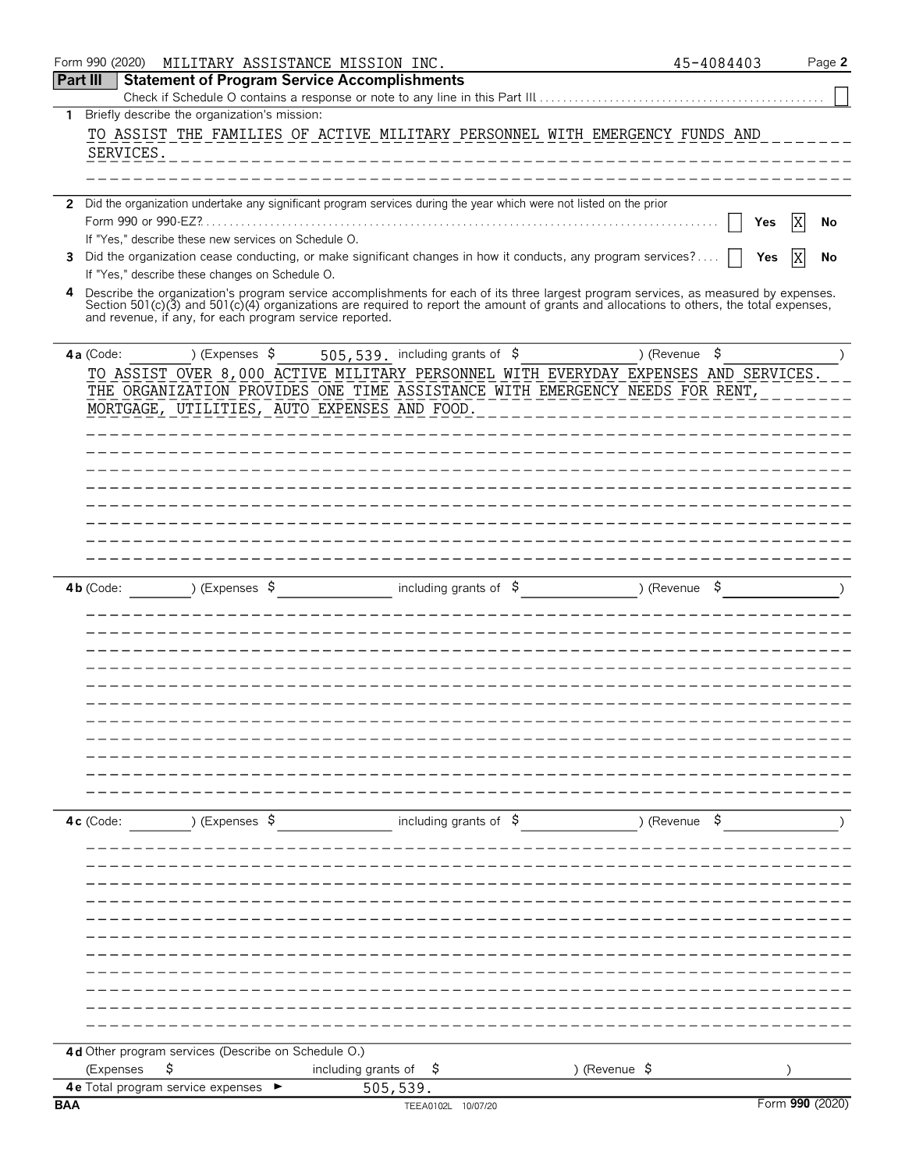|                 | Form 990 (2020) |                                                         |                           |  | MILITARY ASSISTANCE MISSION INC.                        |          |                                                                                                                                                                                                                                                                                  |  |               |                          | 45-4084403 |                 |    | Page 2 |
|-----------------|-----------------|---------------------------------------------------------|---------------------------|--|---------------------------------------------------------|----------|----------------------------------------------------------------------------------------------------------------------------------------------------------------------------------------------------------------------------------------------------------------------------------|--|---------------|--------------------------|------------|-----------------|----|--------|
| <b>Part III</b> |                 |                                                         |                           |  | <b>Statement of Program Service Accomplishments</b>     |          |                                                                                                                                                                                                                                                                                  |  |               |                          |            |                 |    |        |
|                 |                 |                                                         |                           |  |                                                         |          | Check if Schedule O contains a response or note to any line in this Part III                                                                                                                                                                                                     |  |               |                          |            |                 |    |        |
| 1               |                 | Briefly describe the organization's mission:            |                           |  |                                                         |          |                                                                                                                                                                                                                                                                                  |  |               |                          |            |                 |    |        |
|                 |                 |                                                         |                           |  |                                                         |          | TO ASSIST THE FAMILIES OF ACTIVE MILITARY PERSONNEL WITH EMERGENCY FUNDS AND                                                                                                                                                                                                     |  |               |                          |            |                 |    |        |
|                 |                 | SERVICES.                                               |                           |  |                                                         |          |                                                                                                                                                                                                                                                                                  |  |               |                          |            |                 |    |        |
|                 |                 |                                                         |                           |  |                                                         |          |                                                                                                                                                                                                                                                                                  |  |               |                          |            |                 |    |        |
|                 |                 |                                                         |                           |  |                                                         |          | 2 Did the organization undertake any significant program services during the year which were not listed on the prior                                                                                                                                                             |  |               |                          |            |                 |    |        |
|                 |                 |                                                         |                           |  |                                                         |          |                                                                                                                                                                                                                                                                                  |  |               |                          |            | Yes             | ΙX | No     |
|                 |                 |                                                         |                           |  | If "Yes," describe these new services on Schedule O.    |          |                                                                                                                                                                                                                                                                                  |  |               |                          |            |                 |    |        |
| 3               |                 |                                                         |                           |  |                                                         |          | Did the organization cease conducting, or make significant changes in how it conducts, any program services?                                                                                                                                                                     |  |               |                          |            | Yes             | X  | No     |
|                 |                 | If "Yes," describe these changes on Schedule O.         |                           |  |                                                         |          |                                                                                                                                                                                                                                                                                  |  |               |                          |            |                 |    |        |
| 4               |                 |                                                         |                           |  | and revenue, if any, for each program service reported. |          | Describe the organization's program service accomplishments for each of its three largest program services, as measured by expenses.<br>Section 501(c)(3) and 501(c)(4) organizations are required to report the amount of grants and allocations to others, the total expenses, |  |               |                          |            |                 |    |        |
|                 |                 |                                                         |                           |  |                                                         |          |                                                                                                                                                                                                                                                                                  |  |               |                          |            |                 |    |        |
|                 | 4a (Code:       |                                                         | ) (Expenses \$            |  |                                                         |          | 505, 539. including grants of \$                                                                                                                                                                                                                                                 |  |               | ) (Revenue $\frac{1}{2}$ |            |                 |    |        |
|                 |                 |                                                         |                           |  |                                                         |          | TO ASSIST OVER 8,000 ACTIVE MILITARY PERSONNEL WITH EVERYDAY EXPENSES AND SERVICES.                                                                                                                                                                                              |  |               |                          |            |                 |    |        |
|                 |                 |                                                         |                           |  |                                                         |          | THE ORGANIZATION PROVIDES ONE TIME ASSISTANCE WITH EMERGENCY NEEDS FOR RENT,                                                                                                                                                                                                     |  |               |                          |            |                 |    |        |
|                 |                 |                                                         |                           |  | MORTGAGE, UTILITIES, AUTO EXPENSES AND FOOD.            |          |                                                                                                                                                                                                                                                                                  |  |               |                          |            |                 |    |        |
|                 |                 |                                                         |                           |  |                                                         |          |                                                                                                                                                                                                                                                                                  |  |               |                          |            |                 |    |        |
|                 |                 |                                                         |                           |  |                                                         |          |                                                                                                                                                                                                                                                                                  |  |               |                          |            |                 |    |        |
|                 |                 |                                                         |                           |  |                                                         |          |                                                                                                                                                                                                                                                                                  |  |               |                          |            |                 |    |        |
|                 |                 |                                                         |                           |  |                                                         |          |                                                                                                                                                                                                                                                                                  |  |               |                          |            |                 |    |        |
|                 |                 |                                                         |                           |  |                                                         |          |                                                                                                                                                                                                                                                                                  |  |               |                          |            |                 |    |        |
|                 |                 |                                                         |                           |  |                                                         |          |                                                                                                                                                                                                                                                                                  |  |               |                          |            |                 |    |        |
|                 |                 |                                                         |                           |  |                                                         |          |                                                                                                                                                                                                                                                                                  |  |               |                          |            |                 |    |        |
|                 |                 |                                                         |                           |  |                                                         |          |                                                                                                                                                                                                                                                                                  |  |               |                          |            |                 |    |        |
|                 |                 |                                                         |                           |  |                                                         |          |                                                                                                                                                                                                                                                                                  |  |               |                          |            |                 |    |        |
|                 | $4b$ (Code:     |                                                         | ) (Expenses $\frac{1}{2}$ |  |                                                         |          | including grants of $\frac{1}{5}$                                                                                                                                                                                                                                                |  |               | ) (Revenue \$            |            |                 |    |        |
|                 |                 |                                                         |                           |  |                                                         |          |                                                                                                                                                                                                                                                                                  |  |               |                          |            |                 |    |        |
|                 |                 |                                                         |                           |  |                                                         |          |                                                                                                                                                                                                                                                                                  |  |               |                          |            |                 |    |        |
|                 |                 |                                                         |                           |  |                                                         |          |                                                                                                                                                                                                                                                                                  |  |               |                          |            |                 |    |        |
|                 |                 |                                                         |                           |  |                                                         |          |                                                                                                                                                                                                                                                                                  |  |               |                          |            |                 |    |        |
|                 |                 |                                                         |                           |  |                                                         |          |                                                                                                                                                                                                                                                                                  |  |               |                          |            |                 |    |        |
|                 |                 |                                                         |                           |  |                                                         |          |                                                                                                                                                                                                                                                                                  |  |               |                          |            |                 |    |        |
|                 |                 |                                                         |                           |  |                                                         |          |                                                                                                                                                                                                                                                                                  |  |               |                          |            |                 |    |        |
|                 |                 |                                                         |                           |  |                                                         |          |                                                                                                                                                                                                                                                                                  |  |               |                          |            |                 |    |        |
|                 |                 |                                                         |                           |  |                                                         |          |                                                                                                                                                                                                                                                                                  |  |               |                          |            |                 |    |        |
|                 |                 |                                                         |                           |  |                                                         |          |                                                                                                                                                                                                                                                                                  |  |               |                          |            |                 |    |        |
|                 |                 |                                                         |                           |  |                                                         |          |                                                                                                                                                                                                                                                                                  |  |               |                          |            |                 |    |        |
|                 | 4c (Code:       |                                                         | ) (Expenses \$            |  |                                                         |          | including grants of $\phi$                                                                                                                                                                                                                                                       |  |               | ) (Revenue \$            |            |                 |    |        |
|                 |                 |                                                         |                           |  |                                                         |          |                                                                                                                                                                                                                                                                                  |  |               |                          |            |                 |    |        |
|                 |                 |                                                         |                           |  |                                                         |          |                                                                                                                                                                                                                                                                                  |  |               |                          |            |                 |    |        |
|                 |                 |                                                         |                           |  |                                                         |          |                                                                                                                                                                                                                                                                                  |  |               |                          |            |                 |    |        |
|                 |                 |                                                         |                           |  |                                                         |          |                                                                                                                                                                                                                                                                                  |  |               |                          |            |                 |    |        |
|                 |                 |                                                         |                           |  |                                                         |          |                                                                                                                                                                                                                                                                                  |  |               |                          |            |                 |    |        |
|                 |                 |                                                         |                           |  |                                                         |          |                                                                                                                                                                                                                                                                                  |  |               |                          |            |                 |    |        |
|                 |                 |                                                         |                           |  |                                                         |          |                                                                                                                                                                                                                                                                                  |  |               |                          |            |                 |    |        |
|                 |                 |                                                         |                           |  |                                                         |          |                                                                                                                                                                                                                                                                                  |  |               |                          |            |                 |    |        |
|                 |                 |                                                         |                           |  |                                                         |          |                                                                                                                                                                                                                                                                                  |  |               |                          |            |                 |    |        |
|                 |                 |                                                         |                           |  |                                                         |          |                                                                                                                                                                                                                                                                                  |  |               |                          |            |                 |    |        |
|                 |                 |                                                         |                           |  |                                                         |          |                                                                                                                                                                                                                                                                                  |  |               |                          |            |                 |    |        |
|                 |                 |                                                         |                           |  |                                                         |          |                                                                                                                                                                                                                                                                                  |  |               |                          |            |                 |    |        |
|                 |                 | (Expenses                                               | \$                        |  | 4d Other program services (Describe on Schedule O.)     |          |                                                                                                                                                                                                                                                                                  |  |               |                          |            |                 |    |        |
|                 |                 | 4e Total program service expenses $\blacktriangleright$ |                           |  | including grants of $\frac{1}{5}$                       | 505,539. |                                                                                                                                                                                                                                                                                  |  | ) (Revenue \$ |                          |            |                 |    |        |
| <b>BAA</b>      |                 |                                                         |                           |  |                                                         |          | TEEA0102L 10/07/20                                                                                                                                                                                                                                                               |  |               |                          |            | Form 990 (2020) |    |        |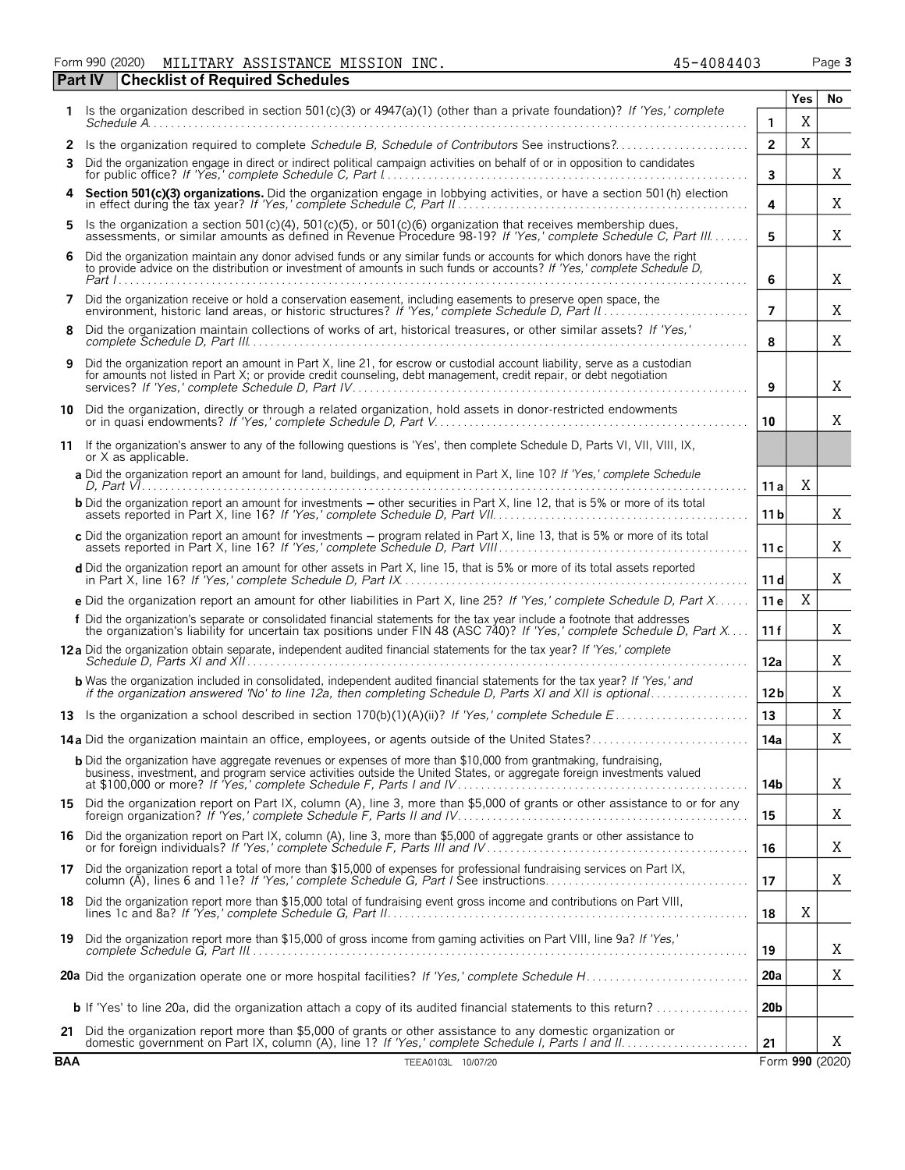Form 990 (2020) MILITARY ASSISTANCE MISSION INC.  $45-4084403$  Page 3 MILITARY ASSISTANCE MISSION INC. 45-4084403

|            | <b>Checklist of Required Schedules</b><br><b>Part IV</b>                                                                                                                                                                                            |                 |            |                 |
|------------|-----------------------------------------------------------------------------------------------------------------------------------------------------------------------------------------------------------------------------------------------------|-----------------|------------|-----------------|
| 1.         | Is the organization described in section 501(c)(3) or 4947(a)(1) (other than a private foundation)? If 'Yes,' complete                                                                                                                              |                 | <b>Yes</b> | No              |
|            |                                                                                                                                                                                                                                                     | 1.              | X          |                 |
| 2<br>3     | Is the organization required to complete Schedule B, Schedule of Contributors See instructions?<br>Did the organization engage in direct or indirect political campaign activities on behalf of or in opposition to candidates                      | $\overline{2}$  | X          |                 |
| 4          |                                                                                                                                                                                                                                                     | 3               |            | X               |
|            | Section 501(c)(3) organizations. Did the organization engage in lobbying activities, or have a section 501(h) election in effect during the tax year? If 'Yes,' complete Schedule C, Part II                                                        | 4               |            | Χ               |
| 5          | Is the organization a section 501(c)(4), 501(c)(5), or 501(c)(6) organization that receives membership dues, assessments, or similar amounts as defined in Revenue Procedure 98-19? If 'Yes,' complete Schedule C, Part III                         | 5               |            | Χ               |
| 6          | Did the organization maintain any donor advised funds or any similar funds or accounts for which donors have the right to provide advice on the distribution or investment of amounts in such funds or accounts? If 'Yes,' com                      | 6               |            | X               |
| 7          | Did the organization receive or hold a conservation easement, including easements to preserve open space, the                                                                                                                                       | 7               |            | Χ               |
| 8          | Did the organization maintain collections of works of art, historical treasures, or other similar assets? If 'Yes,'                                                                                                                                 | 8               |            | X               |
| 9          | Did the organization report an amount in Part X, line 21, for escrow or custodial account liability, serve as a custodian<br>for amounts not listed in Part X; or provide credit counseling, debt management, credit repair, or debt negotiation    | 9               |            | Χ               |
|            | 10 Did the organization, directly or through a related organization, hold assets in donor-restricted endowments                                                                                                                                     | 10              |            | X               |
|            | 11 If the organization's answer to any of the following questions is 'Yes', then complete Schedule D, Parts VI, VII, VIII, IX,<br>or X as applicable.                                                                                               |                 |            |                 |
|            | a Did the organization report an amount for land, buildings, and equipment in Part X, line 10? If 'Yes,' complete Schedule                                                                                                                          | 11 a            | X          |                 |
|            | <b>b</b> Did the organization report an amount for investments – other securities in Part X, line 12, that is 5% or more of its total                                                                                                               | 11 <sub>b</sub> |            | X               |
|            | c Did the organization report an amount for investments - program related in Part X, line 13, that is 5% or more of its total                                                                                                                       | 11c             |            | X               |
|            | d Did the organization report an amount for other assets in Part X, line 15, that is 5% or more of its total assets reported                                                                                                                        | 11d             |            | X               |
|            | e Did the organization report an amount for other liabilities in Part X, line 25? If 'Yes,' complete Schedule D, Part X                                                                                                                             | 11e             | X          |                 |
|            | f Did the organization's separate or consolidated financial statements for the tax year include a footnote that addresses<br>the organization's liability for uncertain tax positions under FIN 48 (ASC 740)? If 'Yes,' complete Schedule D, Part X | 11f             |            | X               |
|            | 12 a Did the organization obtain separate, independent audited financial statements for the tax year? If 'Yes,' complete                                                                                                                            | 12a             |            | Χ               |
|            | <b>b</b> Was the organization included in consolidated, independent audited financial statements for the tax year? If 'Yes,' and if the organization answered 'No' to line 12a, then completing Schedule D, Parts XI and XII is opt                 | 12 <sub>b</sub> |            | Χ               |
|            |                                                                                                                                                                                                                                                     | 13              |            | X               |
|            |                                                                                                                                                                                                                                                     | 14a             |            | X               |
|            | <b>b</b> Did the organization have aggregate revenues or expenses of more than \$10,000 from grantmaking, fundraising,<br>business, investment, and program service activities outside the United States, or aggregate foreign investments valued   | 14b             |            | X               |
| 15.        | Did the organization report on Part IX, column (A), line 3, more than \$5,000 of grants or other assistance to or for any                                                                                                                           | 15              |            | X               |
| 16         | Did the organization report on Part IX, column (A), line 3, more than \$5,000 of aggregate grants or other assistance to<br>or for foreign individuals? If 'Yes,' complete Schedule F, Parts III and IV                                             | 16              |            | X               |
|            | 17 Did the organization report a total of more than \$15,000 of expenses for professional fundraising services on Part IX,                                                                                                                          | 17              |            | Χ               |
| 18         |                                                                                                                                                                                                                                                     | 18              | Χ          |                 |
|            | 19 Did the organization report more than \$15,000 of gross income from gaming activities on Part VIII, line 9a? If 'Yes,'                                                                                                                           | 19              |            | Χ               |
|            |                                                                                                                                                                                                                                                     | <b>20a</b>      |            | X               |
|            | <b>b</b> If 'Yes' to line 20a, did the organization attach a copy of its audited financial statements to this return?                                                                                                                               | 20 <sub>b</sub> |            |                 |
| 21         | Did the organization report more than \$5,000 of grants or other assistance to any domestic organization or                                                                                                                                         | 21              |            | X               |
| <b>BAA</b> | TEEA0103L 10/07/20                                                                                                                                                                                                                                  |                 |            | Form 990 (2020) |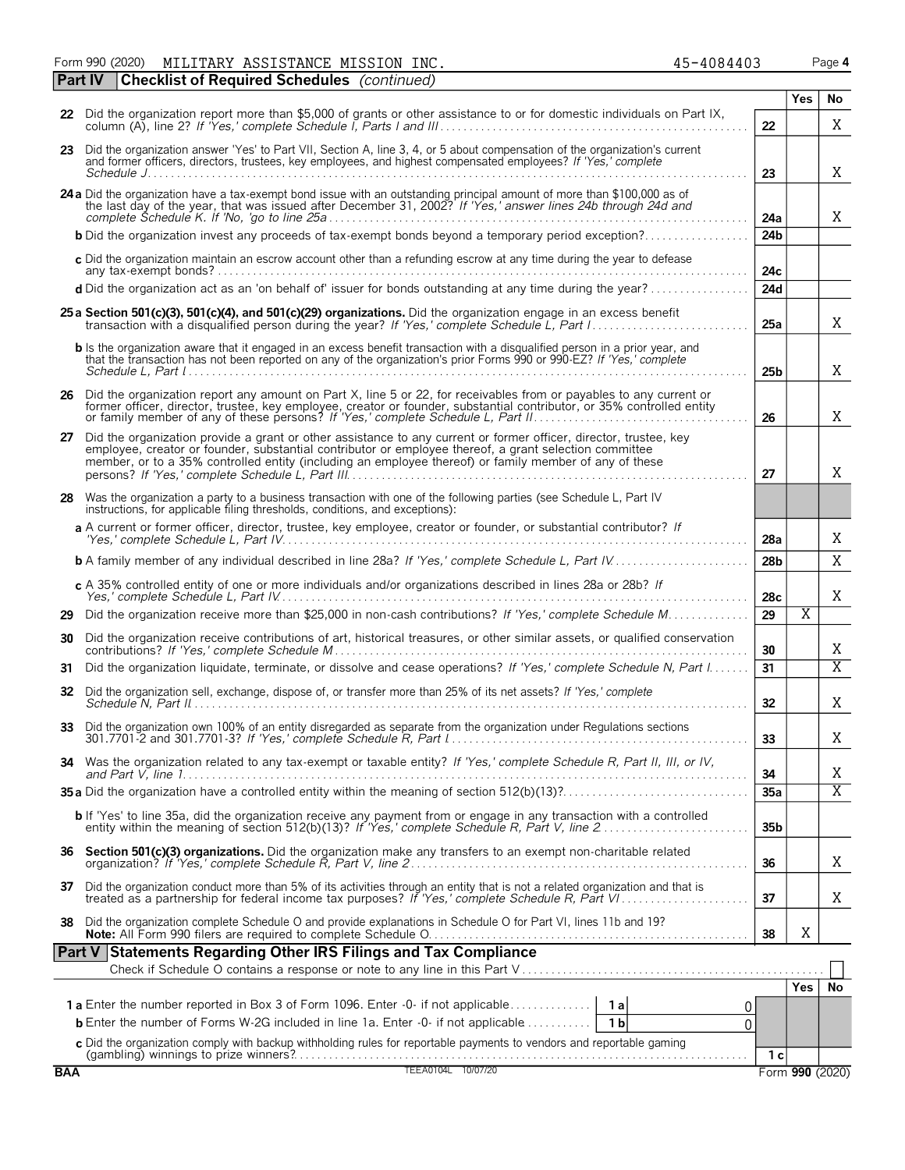Form 990 (2020) MILITARY ASSISTANCE MISSION INC.  $45-4084403$  Page 4 MILITARY ASSISTANCE MISSION INC. 45-4084403

|            | <b>Part IV</b> | <b>Checklist of Required Schedules</b> (continued)                                                                                                                                                                                                                                                                                                                                                                                                                                                                                                                                                                                                                  |                 |            |                       |
|------------|----------------|---------------------------------------------------------------------------------------------------------------------------------------------------------------------------------------------------------------------------------------------------------------------------------------------------------------------------------------------------------------------------------------------------------------------------------------------------------------------------------------------------------------------------------------------------------------------------------------------------------------------------------------------------------------------|-----------------|------------|-----------------------|
|            |                |                                                                                                                                                                                                                                                                                                                                                                                                                                                                                                                                                                                                                                                                     |                 | <b>Yes</b> | No                    |
|            |                | 22 Did the organization report more than \$5,000 of grants or other assistance to or for domestic individuals on Part IX,                                                                                                                                                                                                                                                                                                                                                                                                                                                                                                                                           | 22              |            | X                     |
|            |                | 23 Did the organization answer 'Yes' to Part VII, Section A, line 3, 4, or 5 about compensation of the organization's current<br>and former officers, directors, trustees, key employees, and highest compensated employees? If 'Yes,' complete                                                                                                                                                                                                                                                                                                                                                                                                                     | 23              |            | X                     |
|            |                | 24 a Did the organization have a tax-exempt bond issue with an outstanding principal amount of more than \$100,000 as of<br>the last day of the year, that was issued after December 31, 2002? If 'Yes,' answer lines 24b through 24d and                                                                                                                                                                                                                                                                                                                                                                                                                           | 24a             |            | X                     |
|            |                | <b>b</b> Did the organization invest any proceeds of tax-exempt bonds beyond a temporary period exception?                                                                                                                                                                                                                                                                                                                                                                                                                                                                                                                                                          | 24b             |            |                       |
|            |                | c Did the organization maintain an escrow account other than a refunding escrow at any time during the year to defease                                                                                                                                                                                                                                                                                                                                                                                                                                                                                                                                              | 24c             |            |                       |
|            |                | d Did the organization act as an 'on behalf of' issuer for bonds outstanding at any time during the year?                                                                                                                                                                                                                                                                                                                                                                                                                                                                                                                                                           | 24d             |            |                       |
|            |                | 25 a Section 501(c)(3), 501(c)(4), and 501(c)(29) organizations. Did the organization engage in an excess benefit                                                                                                                                                                                                                                                                                                                                                                                                                                                                                                                                                   | 25a             |            | X                     |
|            |                | b Is the organization aware that it engaged in an excess benefit transaction with a disqualified person in a prior year, and<br>that the transaction has not been reported on any of the organization's prior Forms 990 or 990-EZ? If 'Yes,' complete<br>Schedule L. Part $l_1, \ldots, l_n, \ldots, l_n, \ldots, l_n, \ldots, l_n, \ldots, l_n, \ldots, l_n, \ldots, l_n, \ldots, l_n, \ldots, l_n, \ldots, l_n, \ldots, l_n, \ldots, l_n, \ldots, l_n, \ldots, l_n, \ldots, l_n, \ldots, l_n, \ldots, l_n, \ldots, l_n, \ldots, l_n, \ldots, l_n, \ldots, l_n, \ldots, l_n, \ldots, l_n, \ldots, l_n, \ldots, l_n, \ldots, l_n, \ldots, l_n, \ldots, l_n, \ldots$ | 25b             |            | X                     |
|            |                | 26 Did the organization report any amount on Part X, line 5 or 22, for receivables from or payables to any current or former officer, director, trustee, key employee, creator or founder, substantial contributor, or 35% con<br>or family member of any of these persons? If 'Yes,' complete Schedule L, Part II                                                                                                                                                                                                                                                                                                                                                  | 26              |            | X                     |
| 27         |                | Did the organization provide a grant or other assistance to any current or former officer, director, trustee, key<br>employee, creator or founder, substantial contributor or employee thereof, a grant selection committee<br>member, or to a 35% controlled entity (including an employee thereof) or family member of any of these                                                                                                                                                                                                                                                                                                                               | 27              |            | X                     |
|            |                | 28 Was the organization a party to a business transaction with one of the following parties (see Schedule L, Part IV<br>instructions, for applicable filing thresholds, conditions, and exceptions):                                                                                                                                                                                                                                                                                                                                                                                                                                                                |                 |            |                       |
|            |                | a A current or former officer, director, trustee, key employee, creator or founder, or substantial contributor? If                                                                                                                                                                                                                                                                                                                                                                                                                                                                                                                                                  | 28a             |            | Χ                     |
|            |                |                                                                                                                                                                                                                                                                                                                                                                                                                                                                                                                                                                                                                                                                     | 28 <sub>b</sub> |            | X                     |
|            |                | c A 35% controlled entity of one or more individuals and/or organizations described in lines 28a or 28b? If                                                                                                                                                                                                                                                                                                                                                                                                                                                                                                                                                         | 28 <sub>c</sub> |            | X                     |
| 29         |                | Did the organization receive more than \$25,000 in non-cash contributions? If 'Yes,' complete Schedule M                                                                                                                                                                                                                                                                                                                                                                                                                                                                                                                                                            | 29              | Χ          |                       |
| 30         |                | Did the organization receive contributions of art, historical treasures, or other similar assets, or qualified conservation                                                                                                                                                                                                                                                                                                                                                                                                                                                                                                                                         | 30              |            | Χ                     |
| 31         |                | Did the organization liquidate, terminate, or dissolve and cease operations? If 'Yes,' complete Schedule N, Part I                                                                                                                                                                                                                                                                                                                                                                                                                                                                                                                                                  | 31              |            | $\overline{\text{X}}$ |
|            |                | 32 Did the organization sell, exchange, dispose of, or transfer more than 25% of its net assets? If 'Yes,' complete                                                                                                                                                                                                                                                                                                                                                                                                                                                                                                                                                 | 32              |            | Χ                     |
|            |                | 33 Did the organization own 100% of an entity disregarded as separate from the organization under Requlations sections                                                                                                                                                                                                                                                                                                                                                                                                                                                                                                                                              | 33              |            | Χ                     |
|            |                | 34 Was the organization related to any tax-exempt or taxable entity? If 'Yes,' complete Schedule R, Part II, III, or IV,                                                                                                                                                                                                                                                                                                                                                                                                                                                                                                                                            | 34              |            | Χ                     |
|            |                |                                                                                                                                                                                                                                                                                                                                                                                                                                                                                                                                                                                                                                                                     | 35a             |            | $\overline{\text{X}}$ |
|            |                | b If 'Yes' to line 35a, did the organization receive any payment from or engage in any transaction with a controlled<br>entity within the meaning of section 512(b)(13)? If 'Yes,' complete Schedule R, Part V, line 2                                                                                                                                                                                                                                                                                                                                                                                                                                              | 35 <sub>b</sub> |            |                       |
|            |                | 36 Section 501(c)(3) organizations. Did the organization make any transfers to an exempt non-charitable related                                                                                                                                                                                                                                                                                                                                                                                                                                                                                                                                                     | 36              |            | Χ                     |
|            |                | 37 Did the organization conduct more than 5% of its activities through an entity that is not a related organization and that is treated as a partnership for federal income tax purposes? If 'Yes,' complete Schedule R, Part                                                                                                                                                                                                                                                                                                                                                                                                                                       | 37              |            | Χ                     |
|            |                | 38 Did the organization complete Schedule O and provide explanations in Schedule O for Part VI, lines 11b and 19?                                                                                                                                                                                                                                                                                                                                                                                                                                                                                                                                                   | 38              | X          |                       |
|            |                | Part V Statements Regarding Other IRS Filings and Tax Compliance                                                                                                                                                                                                                                                                                                                                                                                                                                                                                                                                                                                                    |                 |            |                       |
|            |                |                                                                                                                                                                                                                                                                                                                                                                                                                                                                                                                                                                                                                                                                     |                 |            |                       |
|            |                |                                                                                                                                                                                                                                                                                                                                                                                                                                                                                                                                                                                                                                                                     |                 | Yes l      | No                    |
|            |                | 0<br><b>b</b> Enter the number of Forms W-2G included in line 1a. Enter -0- if not applicable<br>1 <sub>b</sub><br>$\Omega$                                                                                                                                                                                                                                                                                                                                                                                                                                                                                                                                         |                 |            |                       |
|            |                |                                                                                                                                                                                                                                                                                                                                                                                                                                                                                                                                                                                                                                                                     |                 |            |                       |
|            |                |                                                                                                                                                                                                                                                                                                                                                                                                                                                                                                                                                                                                                                                                     | 1 <sub>c</sub>  |            |                       |
| <b>BAA</b> |                | TEEA0104L 10/07/20                                                                                                                                                                                                                                                                                                                                                                                                                                                                                                                                                                                                                                                  |                 |            | Form 990 (2020)       |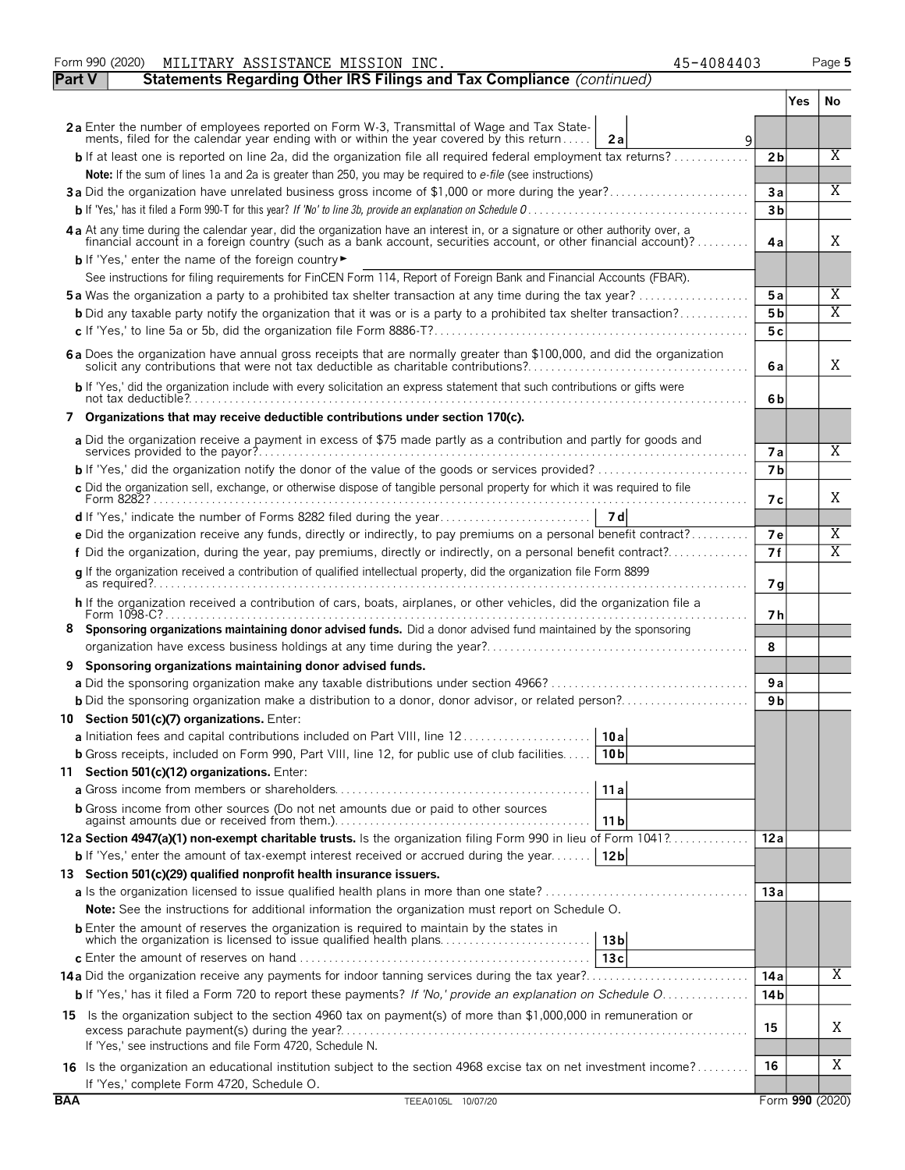|               | Form 990 (2020)<br>MILITARY ASSISTANCE MISSION INC.<br>45-4084403                                                                                                                                                              |                 |            | Page 5                  |
|---------------|--------------------------------------------------------------------------------------------------------------------------------------------------------------------------------------------------------------------------------|-----------------|------------|-------------------------|
| <b>Part V</b> | Statements Regarding Other IRS Filings and Tax Compliance (continued)                                                                                                                                                          |                 |            |                         |
|               |                                                                                                                                                                                                                                |                 | <b>Yes</b> | No                      |
|               |                                                                                                                                                                                                                                |                 |            |                         |
|               | 2a Enter the number of employees reported on Form W-3, Transmittal of Wage and Tax Statements, filed for the calendar year ending with or within the year covered by this return<br>2a<br>9                                    |                 |            |                         |
|               | <b>b</b> If at least one is reported on line 2a, did the organization file all required federal employment tax returns?                                                                                                        | 2 <sub>b</sub>  |            | X                       |
|               | Note: If the sum of lines 1a and 2a is greater than 250, you may be required to e-file (see instructions)                                                                                                                      |                 |            |                         |
|               | 3a Did the organization have unrelated business gross income of \$1,000 or more during the year?                                                                                                                               | 3a              |            | Χ                       |
|               |                                                                                                                                                                                                                                | 3 <sub>b</sub>  |            |                         |
|               | 4 a At any time during the calendar year, did the organization have an interest in, or a signature or other authority over, a financial account in a foreign country (such as a bank account, securities account, or other fin | 4a              |            | Χ                       |
|               | <b>b</b> If 'Yes,' enter the name of the foreign country                                                                                                                                                                       |                 |            |                         |
|               | See instructions for filing requirements for FinCEN Form 114, Report of Foreign Bank and Financial Accounts (FBAR).                                                                                                            |                 |            |                         |
|               | <b>5a</b> Was the organization a party to a prohibited tax shelter transaction at any time during the tax year?                                                                                                                | 5a              |            | $\overline{X}$          |
|               | <b>b</b> Did any taxable party notify the organization that it was or is a party to a prohibited tax shelter transaction?                                                                                                      | 5 <sub>b</sub>  |            | $\overline{X}$          |
|               |                                                                                                                                                                                                                                | 5с              |            |                         |
|               | 6 a Does the organization have annual gross receipts that are normally greater than \$100,000, and did the organization solicit any contributions that were not tax deductible as charitable contributions?                    | 6a              |            | Χ                       |
|               | b If 'Yes,' did the organization include with every solicitation an express statement that such contributions or gifts were                                                                                                    | 6b              |            |                         |
|               | Organizations that may receive deductible contributions under section 170(c).                                                                                                                                                  |                 |            |                         |
|               | a Did the organization receive a payment in excess of \$75 made partly as a contribution and partly for goods and                                                                                                              |                 |            |                         |
|               |                                                                                                                                                                                                                                | <b>7a</b>       |            | X                       |
|               | <b>b</b> If 'Yes,' did the organization notify the donor of the value of the goods or services provided?                                                                                                                       | 7 <sub>b</sub>  |            |                         |
|               | c Did the organization sell, exchange, or otherwise dispose of tangible personal property for which it was required to file                                                                                                    |                 |            |                         |
|               |                                                                                                                                                                                                                                | 7 с             |            | Χ                       |
|               | - 7 d                                                                                                                                                                                                                          |                 |            |                         |
|               | e Did the organization receive any funds, directly or indirectly, to pay premiums on a personal benefit contract?                                                                                                              | <b>7e</b>       |            | $\overline{X}$          |
|               | f Did the organization, during the year, pay premiums, directly or indirectly, on a personal benefit contract?                                                                                                                 | 7f              |            | $\overline{\text{X}}$   |
|               | q If the organization received a contribution of qualified intellectual property, did the organization file Form 8899                                                                                                          | 7g              |            |                         |
|               | h If the organization received a contribution of cars, boats, airplanes, or other vehicles, did the organization file a                                                                                                        |                 |            |                         |
|               | Sponsoring organizations maintaining donor advised funds. Did a donor advised fund maintained by the sponsoring                                                                                                                | 7 h             |            |                         |
|               |                                                                                                                                                                                                                                | 8               |            |                         |
| 9             | Sponsoring organizations maintaining donor advised funds.                                                                                                                                                                      |                 |            |                         |
|               |                                                                                                                                                                                                                                | 9a              |            |                         |
|               | <b>b</b> Did the sponsoring organization make a distribution to a donor, donor advisor, or related person?                                                                                                                     | 9 <sub>b</sub>  |            |                         |
| 10            | Section 501(c)(7) organizations. Enter:                                                                                                                                                                                        |                 |            |                         |
|               | a Initiation fees and capital contributions included on Part VIII, line 12<br>10 a                                                                                                                                             |                 |            |                         |
|               | <b>b</b> Gross receipts, included on Form 990, Part VIII, line 12, for public use of club facilities<br>10 <sub>b</sub>                                                                                                        |                 |            |                         |
|               | 11 Section 501(c)(12) organizations. Enter:                                                                                                                                                                                    |                 |            |                         |
|               | 11 a                                                                                                                                                                                                                           |                 |            |                         |
|               | <b>b</b> Gross income from other sources (Do not net amounts due or paid to other sources                                                                                                                                      |                 |            |                         |
|               | 11 <sub>b</sub>                                                                                                                                                                                                                |                 |            |                         |
|               | 12a Section 4947(a)(1) non-exempt charitable trusts. Is the organization filing Form 990 in lieu of Form 1041?                                                                                                                 | 12 a            |            |                         |
|               | <b>b</b> If 'Yes,' enter the amount of tax-exempt interest received or accrued during the year<br>12 <sub>b</sub>                                                                                                              |                 |            |                         |
|               | 13 Section 501(c)(29) qualified nonprofit health insurance issuers.                                                                                                                                                            |                 |            |                         |
|               |                                                                                                                                                                                                                                | 13a             |            |                         |
|               | Note: See the instructions for additional information the organization must report on Schedule O.                                                                                                                              |                 |            |                         |
|               | <b>b</b> Enter the amount of reserves the organization is required to maintain by the states in<br>13 <sub>b</sub>                                                                                                             |                 |            |                         |
|               | 13c                                                                                                                                                                                                                            |                 |            |                         |
|               | 14a Did the organization receive any payments for indoor tanning services during the tax year?                                                                                                                                 | 14 a            |            | $\overline{\mathrm{X}}$ |
|               | b If 'Yes,' has it filed a Form 720 to report these payments? If 'No,' provide an explanation on Schedule O                                                                                                                    | 14 <sub>b</sub> |            |                         |
|               | 15 Is the organization subject to the section 4960 tax on payment(s) of more than \$1,000,000 in remuneration or                                                                                                               |                 |            |                         |
|               |                                                                                                                                                                                                                                | 15              |            | Χ                       |
|               | If 'Yes,' see instructions and file Form 4720, Schedule N.                                                                                                                                                                     |                 |            |                         |
|               | 16 Is the organization an educational institution subject to the section 4968 excise tax on net investment income?                                                                                                             | 16              |            | Χ                       |
|               | If 'Yes,' complete Form 4720, Schedule O.                                                                                                                                                                                      |                 |            |                         |
| <b>BAA</b>    | TEEA0105L 10/07/20                                                                                                                                                                                                             |                 |            | Form 990 (2020)         |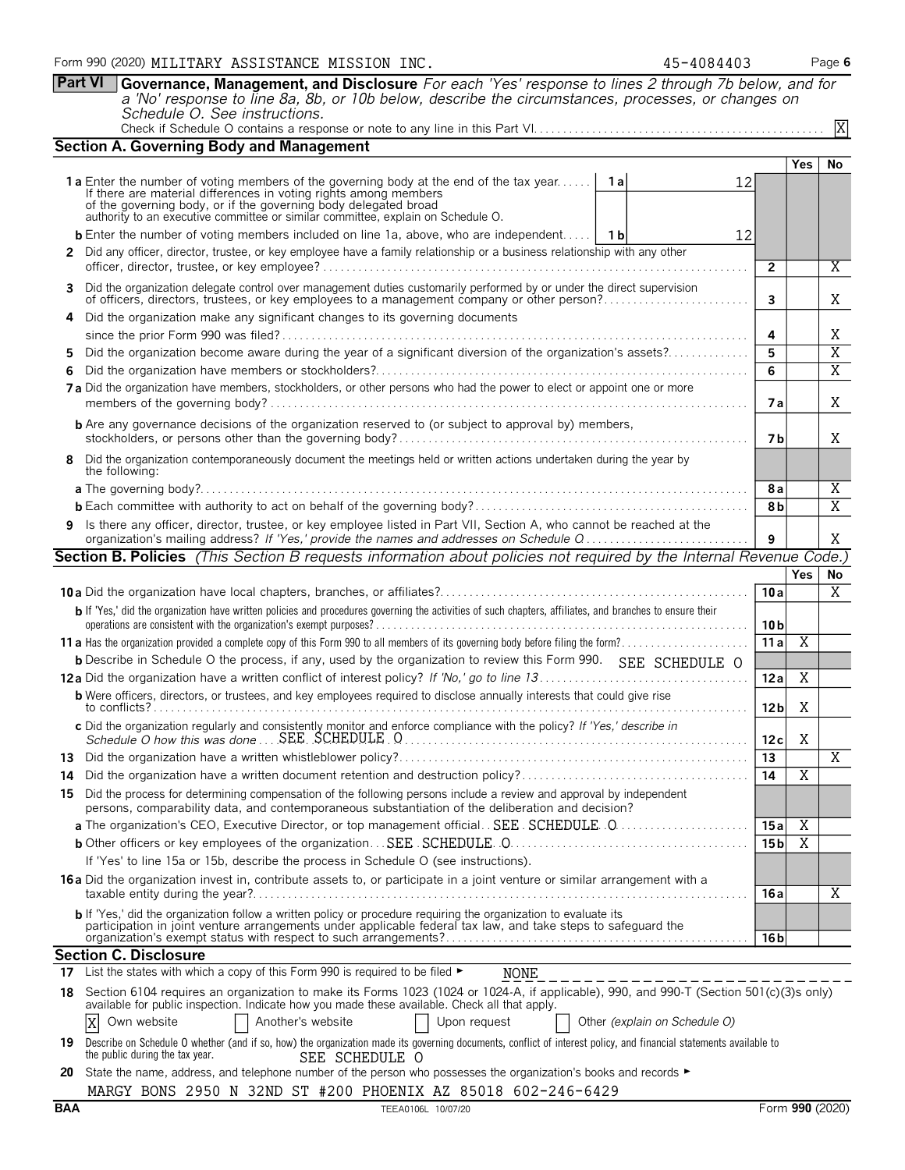| Part VI  | <b>Governance, Management, and Disclosure</b> For each 'Yes' response to lines 2 through 7b below, and for<br>a 'No' response to line 8a, 8b, or 10b below, describe the circumstances, processes, or changes on                                                                                                                         |                 |                |                                         |
|----------|------------------------------------------------------------------------------------------------------------------------------------------------------------------------------------------------------------------------------------------------------------------------------------------------------------------------------------------|-----------------|----------------|-----------------------------------------|
|          | Schedule O. See instructions.                                                                                                                                                                                                                                                                                                            |                 |                | X                                       |
|          | <b>Section A. Governing Body and Management</b>                                                                                                                                                                                                                                                                                          |                 |                |                                         |
|          |                                                                                                                                                                                                                                                                                                                                          |                 | Yes            | No                                      |
|          | <b>1a</b> Enter the number of voting members of the governing body at the end of the tax year <b>1a</b><br>12<br>If there are material differences in voting rights among members<br>of the governing body, or if the governing body delegated broad<br>authority to an executive committee or similar committee, explain on Schedule O. |                 |                |                                         |
|          | <b>b</b> Enter the number of voting members included on line 1a, above, who are independent   1b<br>12                                                                                                                                                                                                                                   |                 |                |                                         |
|          | 2 Did any officer, director, trustee, or key employee have a family relationship or a business relationship with any other                                                                                                                                                                                                               | $\overline{2}$  |                | $\overline{\mathrm{X}}$                 |
| 3        | Did the organization delegate control over management duties customarily performed by or under the direct supervision<br>of officers, directors, trustees, or key employees to a management company or other person?                                                                                                                     | 3               |                | Χ                                       |
|          | Did the organization make any significant changes to its governing documents                                                                                                                                                                                                                                                             |                 |                |                                         |
|          |                                                                                                                                                                                                                                                                                                                                          | 4               |                | Χ                                       |
|          | Did the organization become aware during the year of a significant diversion of the organization's assets?                                                                                                                                                                                                                               | 5<br>6          |                | $\overline{\text{X}}$<br>$\overline{X}$ |
|          | 7 a Did the organization have members, stockholders, or other persons who had the power to elect or appoint one or more                                                                                                                                                                                                                  | 7а              |                | X                                       |
|          | <b>b</b> Are any governance decisions of the organization reserved to (or subject to approval by) members,                                                                                                                                                                                                                               | 7 b             |                | Χ                                       |
| 8        | Did the organization contemporaneously document the meetings held or written actions undertaken during the year by<br>the following:                                                                                                                                                                                                     |                 |                |                                         |
|          |                                                                                                                                                                                                                                                                                                                                          | 8a<br>8b        |                | Χ<br>$\overline{X}$                     |
|          | 9 Is there any officer, director, trustee, or key employee listed in Part VII, Section A, who cannot be reached at the<br>organization's mailing address? If 'Yes,' provide the names and addresses on Schedule Q                                                                                                                        | 9               |                | Χ                                       |
|          | <b>Section B. Policies</b> (This Section B requests information about policies not required by the Internal Revenue Code.)                                                                                                                                                                                                               |                 |                |                                         |
|          |                                                                                                                                                                                                                                                                                                                                          |                 | Yes            | No                                      |
|          |                                                                                                                                                                                                                                                                                                                                          | 10a             |                | $\overline{X}$                          |
|          | b If 'Yes,' did the organization have written policies and procedures governing the activities of such chapters, affiliates, and branches to ensure their                                                                                                                                                                                | 10 <sub>b</sub> |                |                                         |
|          |                                                                                                                                                                                                                                                                                                                                          | 11a             | $\overline{X}$ |                                         |
|          | <b>b</b> Describe in Schedule O the process, if any, used by the organization to review this Form 990. SEE SCHEDULE O                                                                                                                                                                                                                    |                 |                |                                         |
|          |                                                                                                                                                                                                                                                                                                                                          | 12a             | X              |                                         |
|          | <b>b</b> Were officers, directors, or trustees, and key employees required to disclose annually interests that could give rise<br>.                                                                                                                                                                                                      | 12 <sub>b</sub> | X              |                                         |
|          |                                                                                                                                                                                                                                                                                                                                          | 12c             | Χ              |                                         |
| 13       |                                                                                                                                                                                                                                                                                                                                          | 13              |                | $\overline{\mathrm{X}}$                 |
| 14<br>15 | Did the process for determining compensation of the following persons include a review and approval by independent                                                                                                                                                                                                                       | 14              | X              |                                         |
|          | persons, comparability data, and contemporaneous substantiation of the deliberation and decision?<br>a The organization's CEO, Executive Director, or top management official SEE SCHEDULE 0                                                                                                                                             | 15a             | X              |                                         |
|          |                                                                                                                                                                                                                                                                                                                                          | 15 <sub>b</sub> | Χ              |                                         |
|          | If 'Yes' to line 15a or 15b, describe the process in Schedule O (see instructions).                                                                                                                                                                                                                                                      |                 |                |                                         |
|          | 16 a Did the organization invest in, contribute assets to, or participate in a joint venture or similar arrangement with a                                                                                                                                                                                                               |                 |                |                                         |
|          |                                                                                                                                                                                                                                                                                                                                          | 16 a            |                | $\overline{\text{X}}$                   |
|          | b If 'Yes,' did the organization follow a written policy or procedure requiring the organization to evaluate its participation in joint venture arrangements under applicable federal tax law, and take steps to safeguard the                                                                                                           | 16 b            |                |                                         |
|          | <b>Section C. Disclosure</b>                                                                                                                                                                                                                                                                                                             |                 |                |                                         |
|          | 17 List the states with which a copy of this Form 990 is required to be filed $\blacktriangleright$<br><b>NONE</b>                                                                                                                                                                                                                       |                 |                |                                         |
| X        | 18 Section 6104 requires an organization to make its Forms 1023 (1024 or 1024-A, if applicable), 990, and 990-T (Section 501(c)(3)s only)<br>available for public inspection. Indicate how you made these available. Check all that apply.<br>Own website<br>Another's website<br>Upon request<br>Other (explain on Schedule O)          |                 |                |                                         |
| 19       | Describe on Schedule O whether (and if so, how) the organization made its governing documents, conflict of interest policy, and financial statements available to<br>the public during the tax year.<br>SEE SCHEDULE O                                                                                                                   |                 |                |                                         |
| 20       | State the name, address, and telephone number of the person who possesses the organization's books and records ►                                                                                                                                                                                                                         |                 |                |                                         |
|          | MARGY BONS 2950 N 32ND ST #200 PHOENIX AZ 85018 602-246-6429                                                                                                                                                                                                                                                                             |                 |                |                                         |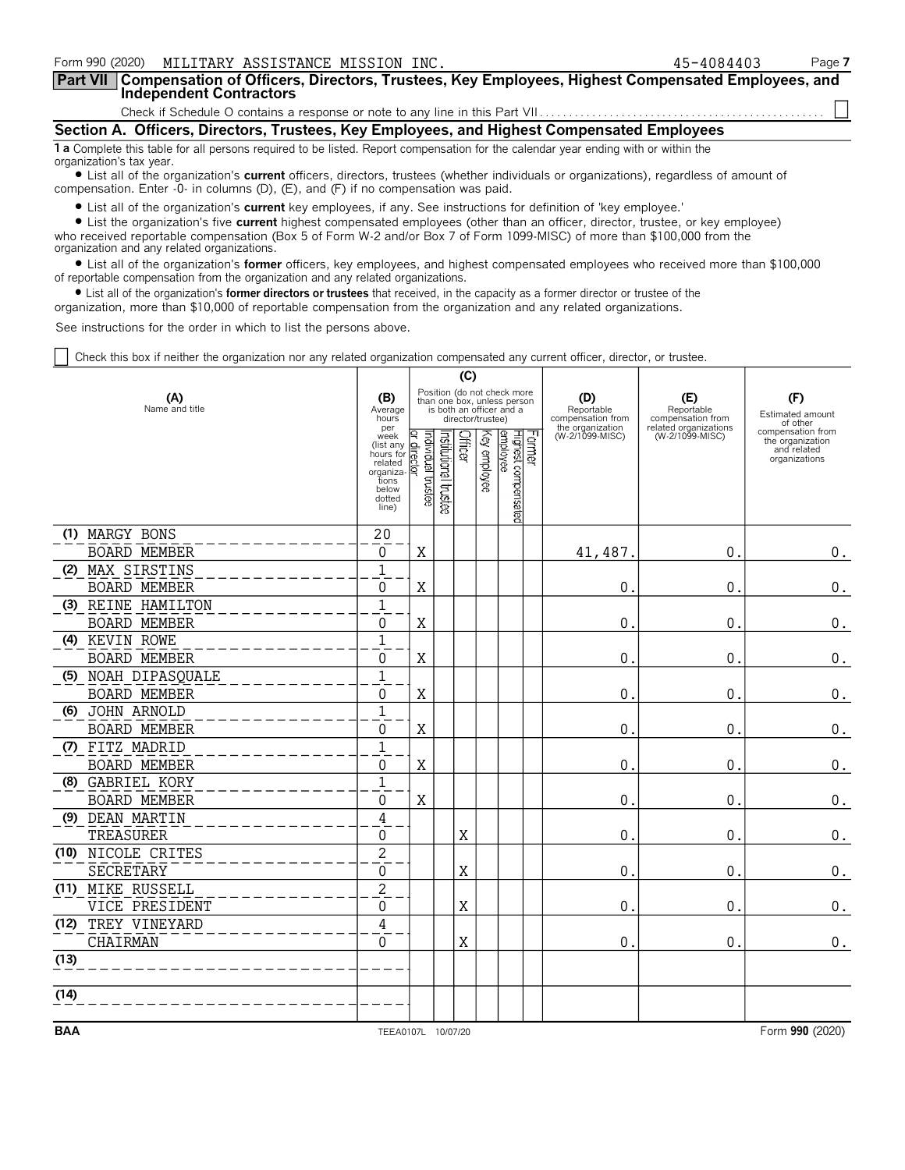| Form 990 (2020) MILITARY ASSISTANCE MISSION INC.                                                                                                               | 45-4084403 | Page 7 |
|----------------------------------------------------------------------------------------------------------------------------------------------------------------|------------|--------|
| Part VII   Compensation of Officers, Directors, Trustees, Key Employees, Highest Compensated Employees, and<br><b>Independent Contractors</b>                  |            |        |
|                                                                                                                                                                |            |        |
| Section A. Officers, Directors, Trustees, Key Employees, and Highest Compensated Employees                                                                     |            |        |
| 1 a Complete this table for all persons required to be listed. Report compensation for the calendar year ending with or within the<br>organization's tax year. |            |        |
| • List all of the organization's current officers, directors, trustees (whether individuals or organizations), regardless of amount of                         |            |        |

compensation. Enter -0- in columns (D), (E), and (F) if no compensation was paid.

? List all of the organization's current key employees, if any. See instructions for definition of 'key employee.'

**•** List the organization's five current highest compensated employees (other than an officer, director, trustee, or key employee) who received reportable compensation (Box 5 of Form W-2 and/or Box 7 of Form 1099-MISC) of more than \$100,000 from the organization and any related organizations.

• List all of the organization's former officers, key employees, and highest compensated employees who received more than \$100,000 of reportable compensation from the organization and any related organizations.

**.** List all of the organization's former directors or trustees that received, in the capacity as a former director or trustee of the

organization, more than \$10,000 of reportable compensation from the organization and any related organizations.

See instructions for the order in which to list the persons above.

Check this box if neither the organization nor any related organization compensated any current officer, director, or trustee.

|                   |                       |                                                                                             |                                |                       | (C)     |                   |                                                                                        |                                                            |                                          |                                                                       |
|-------------------|-----------------------|---------------------------------------------------------------------------------------------|--------------------------------|-----------------------|---------|-------------------|----------------------------------------------------------------------------------------|------------------------------------------------------------|------------------------------------------|-----------------------------------------------------------------------|
|                   | (A)<br>Name and title | (B)<br>Average<br>hours<br>per                                                              |                                |                       |         | director/trustee) | Position (do not check more<br>than one box, unless person<br>is both an officer and a | (D)<br>Reportable<br>compensation from<br>the organization | (E)<br>Reportable<br>compensation from   | (F)<br>Estimated amount<br>of other                                   |
|                   |                       | week<br>(list any<br>hours for<br>related<br>organiza-<br>tions<br>below<br>dotted<br>line) | Individual trustee<br>director | Institutional trustee | Officer | Key employee      | Former<br>Highest compensated<br>employee                                              | (W-2/1099-MISC)                                            | related organizations<br>(W-2/1099-MISC) | compensation from<br>the organization<br>and related<br>organizations |
| (1) MARGY BONS    |                       | 20                                                                                          |                                |                       |         |                   |                                                                                        |                                                            |                                          |                                                                       |
|                   | <b>BOARD MEMBER</b>   | 0                                                                                           | X                              |                       |         |                   |                                                                                        | 41,487                                                     | 0.                                       | $0$ .                                                                 |
|                   | (2) MAX SIRSTINS      | $\mathbf{1}$                                                                                |                                |                       |         |                   |                                                                                        |                                                            |                                          |                                                                       |
|                   | <b>BOARD MEMBER</b>   | $\mathbf{0}$                                                                                | X                              |                       |         |                   |                                                                                        | 0                                                          | $\mathbf 0$ .                            | $0$ .                                                                 |
|                   | (3) REINE HAMILTON    | $\overline{1}$                                                                              |                                |                       |         |                   |                                                                                        |                                                            |                                          |                                                                       |
|                   | BOARD MEMBER          | $\mathbf{0}$                                                                                | $\mathbf X$                    |                       |         |                   |                                                                                        | 0                                                          | $\mathbf{0}$                             | $\boldsymbol{0}$ .                                                    |
| (4) KEVIN ROWE    |                       | $\mathbf{1}$                                                                                |                                |                       |         |                   |                                                                                        |                                                            |                                          |                                                                       |
|                   | <b>BOARD MEMBER</b>   | $\mathbf{0}$                                                                                | X                              |                       |         |                   |                                                                                        | 0                                                          | $\mathbf{0}$                             | $0$ .                                                                 |
|                   | (5) NOAH DIPASQUALE   | $\mathbf{1}$                                                                                |                                |                       |         |                   |                                                                                        |                                                            |                                          |                                                                       |
|                   | <b>BOARD MEMBER</b>   | $\mathbf{0}$                                                                                | $\rm X$                        |                       |         |                   |                                                                                        | $\mathbf{0}$                                               | $\mathbf{0}$ .                           | $\mathbf 0$ .                                                         |
| (6) JOHN ARNOLD   |                       | $\mathbf{1}$                                                                                |                                |                       |         |                   |                                                                                        |                                                            |                                          |                                                                       |
|                   | <b>BOARD MEMBER</b>   | 0                                                                                           | X                              |                       |         |                   |                                                                                        | 0                                                          | $\mathbf{0}$                             | 0.                                                                    |
| (7) FITZ MADRID   |                       | $\overline{1}$                                                                              |                                |                       |         |                   |                                                                                        |                                                            |                                          |                                                                       |
|                   | BOARD MEMBER          | $\mathbf{0}$                                                                                | X                              |                       |         |                   |                                                                                        | 0                                                          | $\mathbf{0}$                             | $\mathbf 0$ .                                                         |
|                   | (8) GABRIEL KORY      | $\overline{1}$                                                                              |                                |                       |         |                   |                                                                                        |                                                            |                                          |                                                                       |
|                   | <b>BOARD MEMBER</b>   | $\Omega$                                                                                    | Χ                              |                       |         |                   |                                                                                        | 0                                                          | $\mathbf{0}$                             | 0.                                                                    |
| (9) DEAN MARTIN   |                       | 4                                                                                           |                                |                       |         |                   |                                                                                        |                                                            |                                          |                                                                       |
|                   | TREASURER             | $\Omega$                                                                                    |                                |                       | X       |                   |                                                                                        | 0                                                          | 0                                        | $\mathbf 0$ .                                                         |
|                   | (10) NICOLE CRITES    | $\overline{2}$                                                                              |                                |                       |         |                   |                                                                                        |                                                            |                                          |                                                                       |
|                   | <b>SECRETARY</b>      | $\overline{0}$                                                                              |                                |                       | X       |                   |                                                                                        | 0                                                          | $\mathbf{0}$                             | $\mathbf 0$ .                                                         |
| (11) MIKE RUSSELL |                       | $\overline{2}$                                                                              |                                |                       |         |                   |                                                                                        |                                                            |                                          |                                                                       |
|                   | VICE PRESIDENT        | 0                                                                                           |                                |                       | $\rm X$ |                   |                                                                                        | 0                                                          | $\mathbf 0$ .                            | $0$ .                                                                 |
|                   | (12) TREY VINEYARD    | 4                                                                                           |                                |                       |         |                   |                                                                                        |                                                            |                                          |                                                                       |
| CHAIRMAN          |                       | $\Omega$                                                                                    |                                |                       | X       |                   |                                                                                        | $\Omega$                                                   | $\mathbf{0}$ .                           | $\boldsymbol{0}$ .                                                    |
| (13)              |                       |                                                                                             |                                |                       |         |                   |                                                                                        |                                                            |                                          |                                                                       |
|                   |                       |                                                                                             |                                |                       |         |                   |                                                                                        |                                                            |                                          |                                                                       |
| (14)              |                       |                                                                                             |                                |                       |         |                   |                                                                                        |                                                            |                                          |                                                                       |
| <b>BAA</b>        |                       | TEEA0107L 10/07/20                                                                          |                                |                       |         |                   |                                                                                        |                                                            |                                          | Form 990 (2020)                                                       |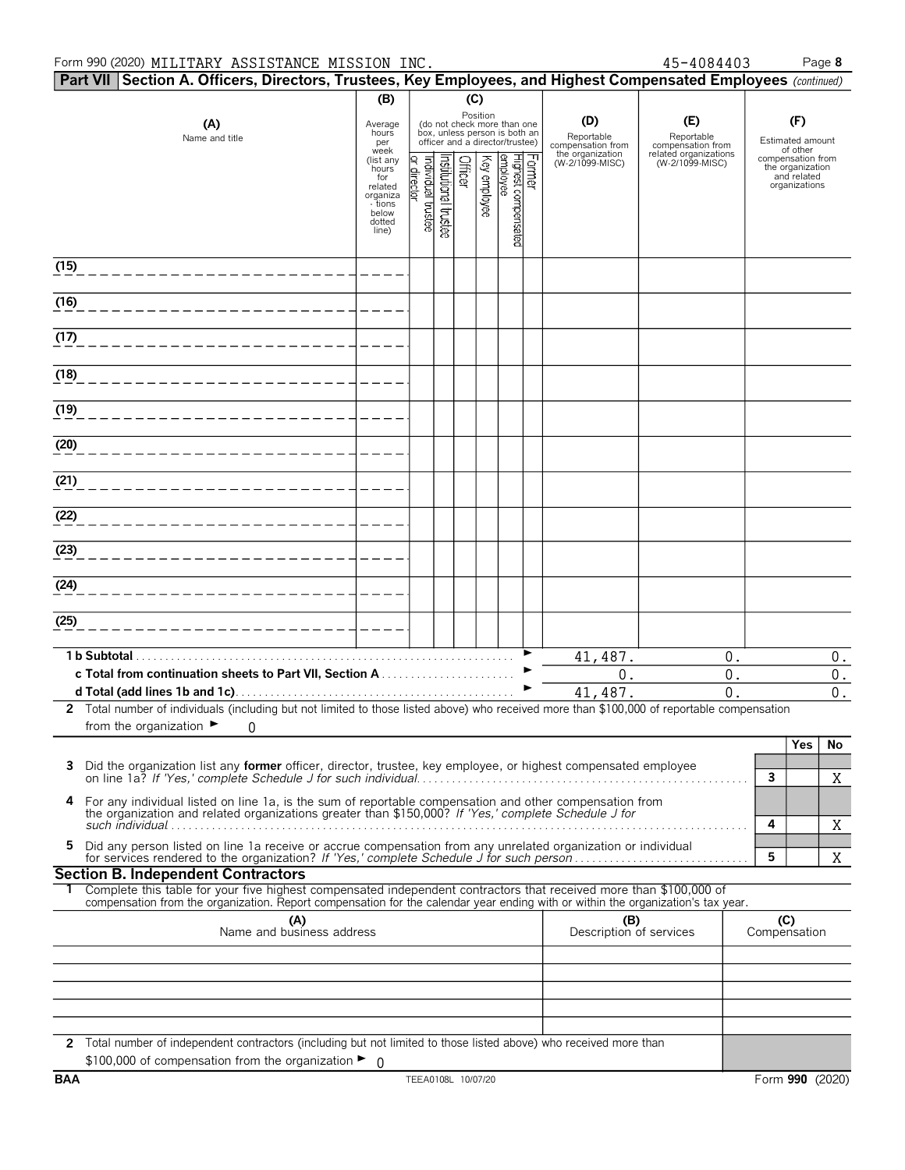## Form 990 (2020) MILITARY ASSISTANCE MISSION INC. 45-4084403 Page 8

| 45-4084403 |  |
|------------|--|

| <b>Part VII Section A. Officers, Directors, Trustees, Key Employees, and Highest Compensated Employees (continued)</b>                                                                                                                                 |                                                                                         |                                   |                       |         |              |                                                                                                             |                                                            |                                                                 |       |                                                                       |
|--------------------------------------------------------------------------------------------------------------------------------------------------------------------------------------------------------------------------------------------------------|-----------------------------------------------------------------------------------------|-----------------------------------|-----------------------|---------|--------------|-------------------------------------------------------------------------------------------------------------|------------------------------------------------------------|-----------------------------------------------------------------|-------|-----------------------------------------------------------------------|
|                                                                                                                                                                                                                                                        | (B)                                                                                     |                                   |                       | (C)     |              |                                                                                                             |                                                            |                                                                 |       |                                                                       |
| (A)<br>Name and title                                                                                                                                                                                                                                  | Average<br>hours<br>per<br>week                                                         |                                   |                       |         |              | Position<br>(do not check more than one<br>box, unless person is both an<br>officer and a director/trustee) | (D)<br>Reportable<br>compensation from<br>the organization | (E)<br>Reportable<br>compensation from<br>related organizations |       | (F)<br>Estimated amount<br>of other                                   |
|                                                                                                                                                                                                                                                        | (list any<br>hours<br>for<br>related<br>organiza<br>- tions<br>below<br>dotted<br>line) | or director<br>Individual trustee | Institutional trustee | Officer | Key employee | employee<br>Highest compensated<br>Former                                                                   | (W-2/1099-MISC)                                            | (W-2/1099-MISC)                                                 |       | compensation from<br>the organization<br>and related<br>organizations |
| (15)                                                                                                                                                                                                                                                   |                                                                                         |                                   |                       |         |              |                                                                                                             |                                                            |                                                                 |       |                                                                       |
| (16)                                                                                                                                                                                                                                                   |                                                                                         |                                   |                       |         |              |                                                                                                             |                                                            |                                                                 |       |                                                                       |
| (17)                                                                                                                                                                                                                                                   |                                                                                         |                                   |                       |         |              |                                                                                                             |                                                            |                                                                 |       |                                                                       |
| (18)                                                                                                                                                                                                                                                   |                                                                                         |                                   |                       |         |              |                                                                                                             |                                                            |                                                                 |       |                                                                       |
| (19)                                                                                                                                                                                                                                                   |                                                                                         |                                   |                       |         |              |                                                                                                             |                                                            |                                                                 |       |                                                                       |
| (20)                                                                                                                                                                                                                                                   |                                                                                         |                                   |                       |         |              |                                                                                                             |                                                            |                                                                 |       |                                                                       |
| (21)                                                                                                                                                                                                                                                   |                                                                                         |                                   |                       |         |              |                                                                                                             |                                                            |                                                                 |       |                                                                       |
| (22)                                                                                                                                                                                                                                                   |                                                                                         |                                   |                       |         |              |                                                                                                             |                                                            |                                                                 |       |                                                                       |
| (23)                                                                                                                                                                                                                                                   |                                                                                         |                                   |                       |         |              |                                                                                                             |                                                            |                                                                 |       |                                                                       |
| (24)                                                                                                                                                                                                                                                   |                                                                                         |                                   |                       |         |              |                                                                                                             |                                                            |                                                                 |       |                                                                       |
| (25)                                                                                                                                                                                                                                                   |                                                                                         |                                   |                       |         |              |                                                                                                             |                                                            |                                                                 |       |                                                                       |
|                                                                                                                                                                                                                                                        |                                                                                         |                                   |                       |         |              |                                                                                                             | 41, 487.                                                   | 0.                                                              |       | 0.                                                                    |
|                                                                                                                                                                                                                                                        |                                                                                         |                                   |                       |         |              |                                                                                                             |                                                            | 0.                                                              | $0$ . | $\overline{0}$ .                                                      |
| 2 Total number of individuals (including but not limited to those listed above) who received more than \$100,000 of reportable compensation                                                                                                            |                                                                                         |                                   |                       |         |              |                                                                                                             | 41, 487.                                                   | 0.                                                              |       | $\overline{0}$ .                                                      |
| from the organization $\blacktriangleright$<br>$\overline{0}$                                                                                                                                                                                          |                                                                                         |                                   |                       |         |              |                                                                                                             |                                                            |                                                                 |       |                                                                       |
| Did the organization list any former officer, director, trustee, key employee, or highest compensated employee<br>3                                                                                                                                    |                                                                                         |                                   |                       |         |              |                                                                                                             |                                                            |                                                                 |       | <b>Yes</b><br>No                                                      |
| For any individual listed on line 1a, is the sum of reportable compensation and other compensation from<br>4                                                                                                                                           |                                                                                         |                                   |                       |         |              |                                                                                                             |                                                            |                                                                 | 3     | Χ                                                                     |
| the organization and related organizations greater than \$150,000? If 'Yes,' complete Schedule J for                                                                                                                                                   |                                                                                         |                                   |                       |         |              |                                                                                                             |                                                            |                                                                 | 4     | Χ                                                                     |
| Did any person listed on line 1a receive or accrue compensation from any unrelated organization or individual<br>for services rendered to the organization? If 'Yes,' complete Schedule J for such person<br>5.                                        |                                                                                         |                                   |                       |         |              |                                                                                                             |                                                            |                                                                 | 5     | X                                                                     |
| <b>Section B. Independent Contractors</b>                                                                                                                                                                                                              |                                                                                         |                                   |                       |         |              |                                                                                                             |                                                            |                                                                 |       |                                                                       |
| Complete this table for your five highest compensated independent contractors that received more than \$100,000 of<br>compensation from the organization. Report compensation for the calendar year ending with or within the organization's tax year. |                                                                                         |                                   |                       |         |              |                                                                                                             |                                                            |                                                                 |       |                                                                       |
| (A)<br>Name and business address                                                                                                                                                                                                                       |                                                                                         |                                   |                       |         |              |                                                                                                             |                                                            | (B)<br>Description of services                                  |       | (C)<br>Compensation                                                   |
|                                                                                                                                                                                                                                                        |                                                                                         |                                   |                       |         |              |                                                                                                             |                                                            |                                                                 |       |                                                                       |
|                                                                                                                                                                                                                                                        |                                                                                         |                                   |                       |         |              |                                                                                                             |                                                            |                                                                 |       |                                                                       |
|                                                                                                                                                                                                                                                        |                                                                                         |                                   |                       |         |              |                                                                                                             |                                                            |                                                                 |       |                                                                       |
| 2 Total number of independent contractors (including but not limited to those listed above) who received more than                                                                                                                                     |                                                                                         |                                   |                       |         |              |                                                                                                             |                                                            |                                                                 |       |                                                                       |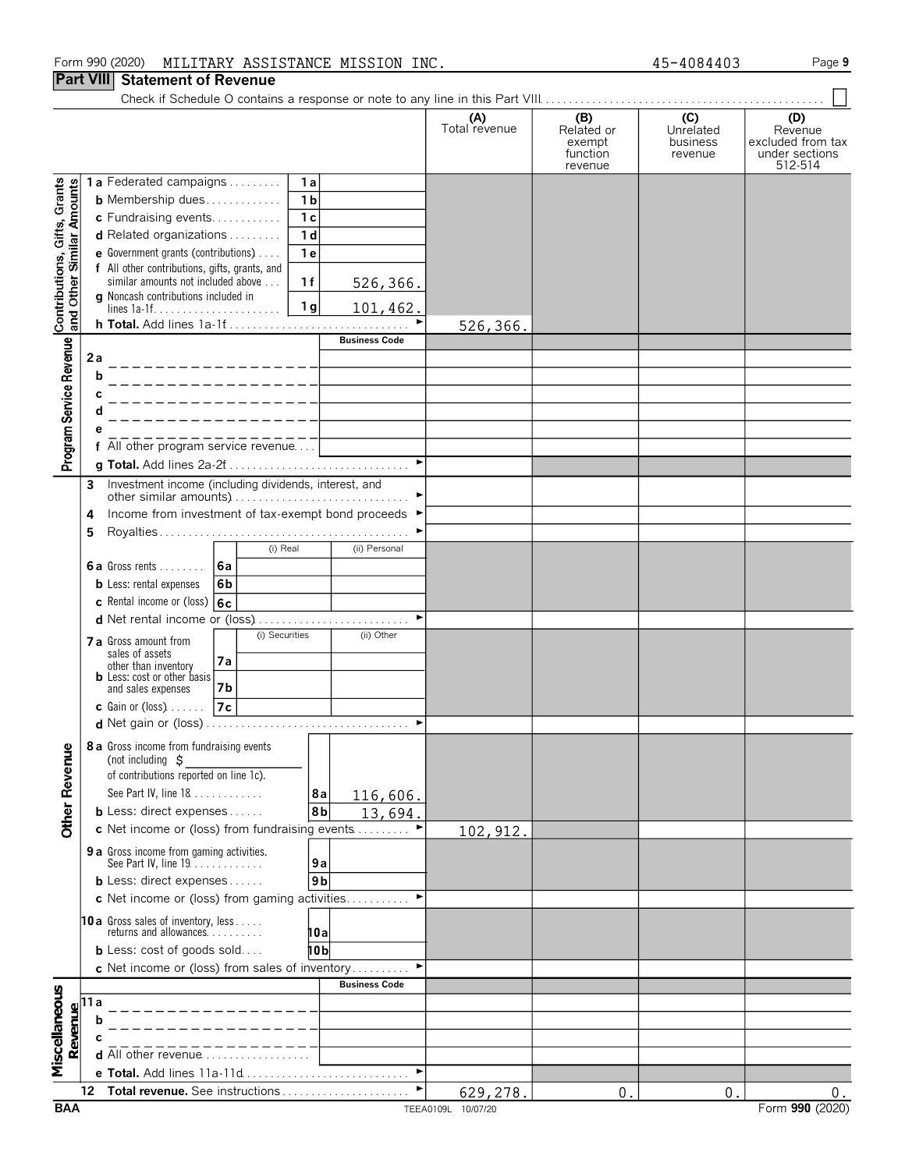## Form 990 (2020) MILITARY ASSISTANCE MISSION INC.  $\frac{45-4084403}{45-4084403}$  Page 9

#### **Part VIII Statement of Revenue**

|                              |                                |                                                                                                    |                           | (A)<br>Total revenue | (B)<br>Related or<br>exempt<br>function<br>revenue | (C)<br>Unrelated<br>business<br>revenue | (D)<br>Revenue<br>excluded from tax<br>under sections<br>512-514 |
|------------------------------|--------------------------------|----------------------------------------------------------------------------------------------------|---------------------------|----------------------|----------------------------------------------------|-----------------------------------------|------------------------------------------------------------------|
| Contributions, Gifts, Grants |                                | 1a Federated campaigns<br>1a                                                                       |                           |                      |                                                    |                                         |                                                                  |
|                              |                                | 1 <sub>b</sub><br><b>b</b> Membership dues                                                         |                           |                      |                                                    |                                         |                                                                  |
|                              |                                | c Fundraising events<br>1 <sub>c</sub>                                                             |                           |                      |                                                    |                                         |                                                                  |
|                              |                                | d Related organizations<br>1 <sub>d</sub><br>1 <sub>e</sub><br>e Government grants (contributions) |                           |                      |                                                    |                                         |                                                                  |
|                              |                                | f All other contributions, gifts, grants, and                                                      |                           |                      |                                                    |                                         |                                                                  |
|                              |                                | similar amounts not included above<br>1 f                                                          | 526,366.                  |                      |                                                    |                                         |                                                                  |
|                              |                                | g Noncash contributions included in<br>1 g                                                         | 101,462.                  |                      |                                                    |                                         |                                                                  |
| and Other Similar Amounts    |                                | <b>h Total.</b> Add lines 1a-1f                                                                    |                           | <u>526,366.</u>      |                                                    |                                         |                                                                  |
|                              |                                |                                                                                                    | <b>Business Code</b>      |                      |                                                    |                                         |                                                                  |
| Program Service Revenue      | 2a                             |                                                                                                    |                           |                      |                                                    |                                         |                                                                  |
|                              | b                              |                                                                                                    |                           |                      |                                                    |                                         |                                                                  |
|                              |                                |                                                                                                    |                           |                      |                                                    |                                         |                                                                  |
|                              |                                |                                                                                                    |                           |                      |                                                    |                                         |                                                                  |
|                              |                                |                                                                                                    |                           |                      |                                                    |                                         |                                                                  |
|                              |                                | f All other program service revenue                                                                | $\blacktriangleright$     |                      |                                                    |                                         |                                                                  |
|                              |                                |                                                                                                    |                           |                      |                                                    |                                         |                                                                  |
|                              | 3                              | Investment income (including dividends, interest, and                                              |                           |                      |                                                    |                                         |                                                                  |
|                              | 4                              | Income from investment of tax-exempt bond proceeds ▶                                               |                           |                      |                                                    |                                         |                                                                  |
|                              | 5                              |                                                                                                    |                           |                      |                                                    |                                         |                                                                  |
|                              |                                | (i) Real                                                                                           | (ii) Personal             |                      |                                                    |                                         |                                                                  |
|                              |                                | 6a Gross rents<br> 6a                                                                              |                           |                      |                                                    |                                         |                                                                  |
|                              |                                | <b>b</b> Less: rental expenses<br>6 <sub>b</sub>                                                   |                           |                      |                                                    |                                         |                                                                  |
|                              |                                | <b>c</b> Rental income or (loss) $ 6c $<br>d Net rental income or (loss)                           |                           |                      |                                                    |                                         |                                                                  |
|                              |                                | (i) Securities                                                                                     | (ii) Other                |                      |                                                    |                                         |                                                                  |
|                              |                                | 7 a Gross amount from<br>sales of assets                                                           |                           |                      |                                                    |                                         |                                                                  |
|                              |                                | 7a<br>other than inventory<br><b>b</b> Less: cost or other basis                                   |                           |                      |                                                    |                                         |                                                                  |
|                              |                                | 7b<br>and sales expenses                                                                           |                           |                      |                                                    |                                         |                                                                  |
|                              |                                | 7c<br><b>c</b> Gain or (loss) $\ldots$ .                                                           |                           |                      |                                                    |                                         |                                                                  |
|                              |                                | <b>d</b> Net gain or (loss).                                                                       |                           |                      |                                                    |                                         |                                                                  |
|                              |                                | <b>8a</b> Gross income from fundraising events                                                     |                           |                      |                                                    |                                         |                                                                  |
|                              |                                | (not including $\zeta$<br>of contributions reported on line 1c).                                   |                           |                      |                                                    |                                         |                                                                  |
|                              |                                | See Part IV, line 18.                                                                              | 8а                        |                      |                                                    |                                         |                                                                  |
|                              |                                | <b>b</b> Less: direct expenses                                                                     | 116,606.<br>8b<br>13,694. |                      |                                                    |                                         |                                                                  |
| <b>Other Revenue</b>         |                                | c Net income or (loss) from fundraising events                                                     |                           | 102, 912.            |                                                    |                                         |                                                                  |
|                              |                                | 9 a Gross income from gaming activities.                                                           |                           |                      |                                                    |                                         |                                                                  |
|                              |                                | See Part IV, line 19.                                                                              | 9a                        |                      |                                                    |                                         |                                                                  |
|                              |                                | <b>b</b> Less: direct expenses                                                                     | 9 <sub>b</sub>            |                      |                                                    |                                         |                                                                  |
|                              |                                | c Net income or (loss) from gaming activities                                                      |                           |                      |                                                    |                                         |                                                                  |
|                              |                                | 10a Gross sales of inventory, less<br>returns and allowances                                       | 10a                       |                      |                                                    |                                         |                                                                  |
|                              |                                | <b>b</b> Less: cost of goods sold                                                                  | 10 bl                     |                      |                                                    |                                         |                                                                  |
|                              |                                | c Net income or (loss) from sales of inventory                                                     |                           |                      |                                                    |                                         |                                                                  |
|                              |                                |                                                                                                    | <b>Business Code</b>      |                      |                                                    |                                         |                                                                  |
| Miscellaneous                |                                |                                                                                                    |                           |                      |                                                    |                                         |                                                                  |
|                              | Revenue<br>$\alpha$ b $\alpha$ |                                                                                                    |                           |                      |                                                    |                                         |                                                                  |
|                              |                                |                                                                                                    |                           |                      |                                                    |                                         |                                                                  |
|                              |                                | d All other revenue                                                                                |                           |                      |                                                    |                                         |                                                                  |
|                              |                                | e Total. Add lines 11a-11d                                                                         |                           |                      |                                                    |                                         |                                                                  |
|                              |                                | 12 Total revenue. See instructions                                                                 |                           | 629,278.             | 0.                                                 | $\mathbf 0$ .                           | $0$ .                                                            |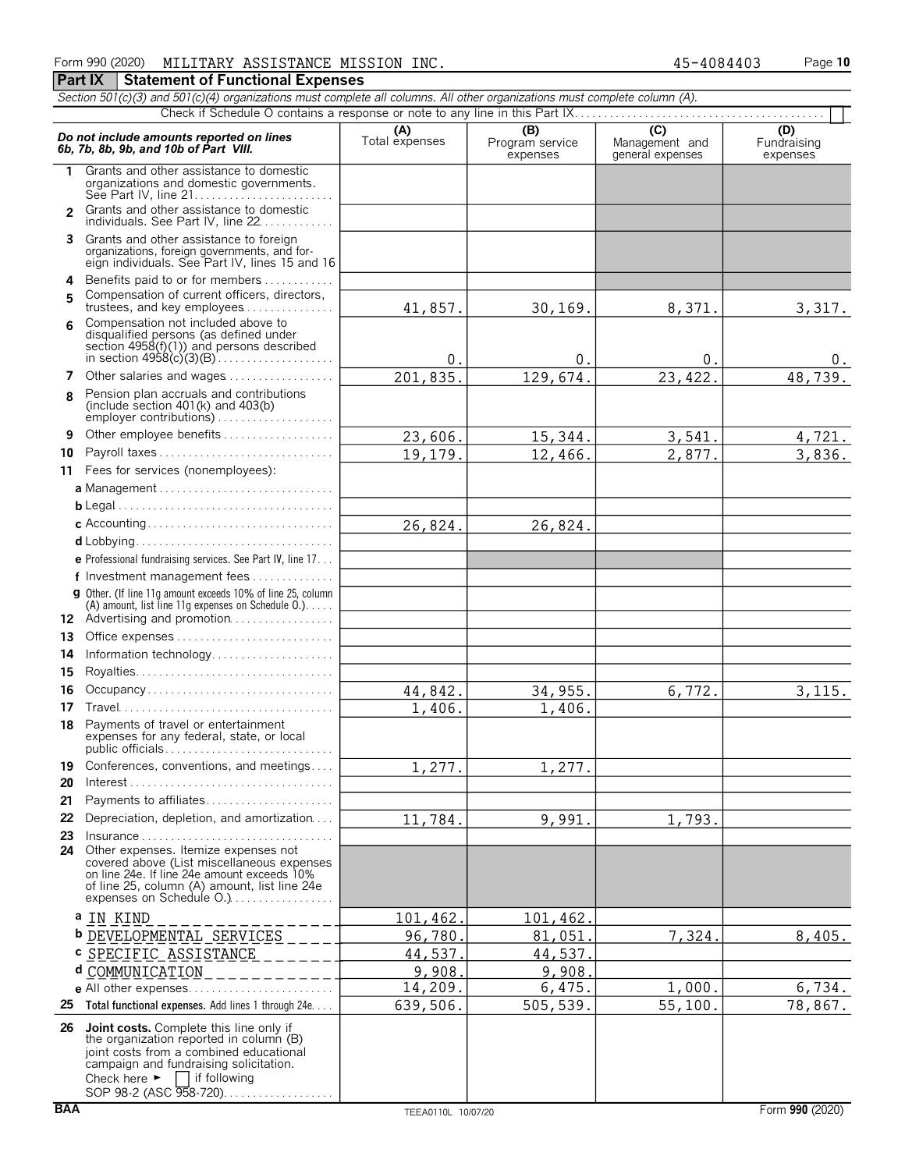#### Section 501(c)(3) and 501(c)(4) organizations must complete all columns. All other organizations must complete column (A). Check if Schedule O contains a response or note to any line in this Part IX. . . . . . . . . . . . . . . . . . . . . . . . . . . . . . . . . . . . . . . . . . . (A) (B) (C) (D) Do not include amounts reported on lines (A) (A) (B) (C) (D) (D) (D) (B) Fundraising expenses b, 7b, 8b, 9b, and 10b of Part VIII. Grants and other assistance to domestic organizations and domestic governments. See Part IV, line 21. . . . . . . . . . . . . . . . . . . . . . . . 2 Grants and other assistance to domestic individuals. See Part IV, line 22. . . . . . . . 3 Grants and other assistance to foreign organizations, foreign governments, and for-eign individuals. See Part IV, lines 15 and 16 **4** Benefits paid to or for members . . . . . . . . . . 5 Compensation of current officers, directors, trustees, and key employees . . . . . . . . . . . . . 6 Compensation not included above to disqualified persons (as defined under section 4958(f)(1)) and persons described in section 4958(c)(3)(B). . . . . . . . . . . . . . . . . . . . 7 Other salaries and wages.................. **R** Pension plan accruals and contributions (include section 401(k) and 403(b) employer contributions) . . . . . . . . . . **9** Other employee benefits . . . . . . . . . 10 Payroll taxes . . . . . . . . . . . . . . . . . . . . . . . . . . . . . . 11 Fees for services (nonemployees): a Management . . . . . . . . . . . . . . . . . . . . . . . . . . . . . . b Legal. . . . . . . . . . . . . . . . . . . . . . . . . . . . . . . . . . . . . . c Accounting. . . . . . . . . . . . . . . . . . . . . . . . . . . . . . . . d Lobbying. . . . . . . . . . . . . . . . . . . . . . . . . . . . . . . . . . e Professional fundraising services. See Part IV, line 17. . . f Investment management fees.............. g Other. (If line 11g amount exceeds 10% of line 25, column (A) amount, list line 11g expenses on Schedule O.). . . . . 12 Advertising and promotion. . . . . . . . . . . . . . . . . 13 Office expenses. . . . . . . . . . . . . . . . . . . . . . . . . . . . 14 Information technology..................... 15 Royalties. . . . . . . . . . . . . . . . . . . . . . . . . . . . . . . . . . **16** Occupancy . . . . . . . . . . . . . . . 17 Travel. . . . . . . . . . . . . . . . . . . . . . . . . . . . . . . . . . . . . 18 Payments of travel or entertainment expenses for any federal, state, or local public officials. . . . . . . . . . . . . . . . . . . . . . . . . . . . . 19 Conferences, conventions, and meetings.... 20 Interest. . . . . . . . . . . . . . . . . . . . . . . . . . . . . . . . . . . . 21 Payments to affiliates. . . . . . . . . . . . . . . . . . . . . . 22 Depreciation, depletion, and amortization... 23 Insurance . . . . . . . . . . . . . . . . . . . . . . . . . . . . . . . . . 24 Other expenses. Itemize expenses not covered above (List miscellaneous expenses on line 24e. If line 24e amount exceeds 10% of line 25, column (A) amount, list line 24e expenses on Schedule O.). . . . . . . . . . . . . . . . a <u>IN KIND</u> b DEVELOPMENTAL SERVICES c SPECIFIC ASSISTANCE d <u>COMMUNICATION</u> e All other expenses.................... 25 Total functional expenses. Add lines 1 through 24e... 26 Joint costs. Complete this line only if the organization reported in column (B) joint costs from a combined educational campaign and fundraising solicitation.<br>Check here  $\blacktriangleright \Box$  if following  $\Box$  if following  $41,857.$  30,169. 8,371. 3,317.  $0.$  0. 0. 0. 0. 0. 201,835. 129,674. 23,422. 48,739.  $23,606.$  15,344. 3,541. 4,721. 19,179. 12,466. 2,877. 3,836. 26,824. 26,824. 44,842. 34,955. 6,772. 3,115. 1,406. 1,406. 1,277. 1,277.  $11,784.$  9,991. 1,793. 101,462. 101,462.  $\begin{array}{|c|c|c|c|c|c|}\n\hline\n96,780. & & 81,051. & & 7,324. & & 8,405.\n\end{array}$ 44,537. 44,537. <u>9,908.</u> 9,908.<br>14,209. 6,475. 14,209. 6,475. 1,000. 6,734. 639,506. 505,539. 55,100. 78,867.

SOP 98-2 (ASC 958-720). . . . . . . . . . . . . . . . . .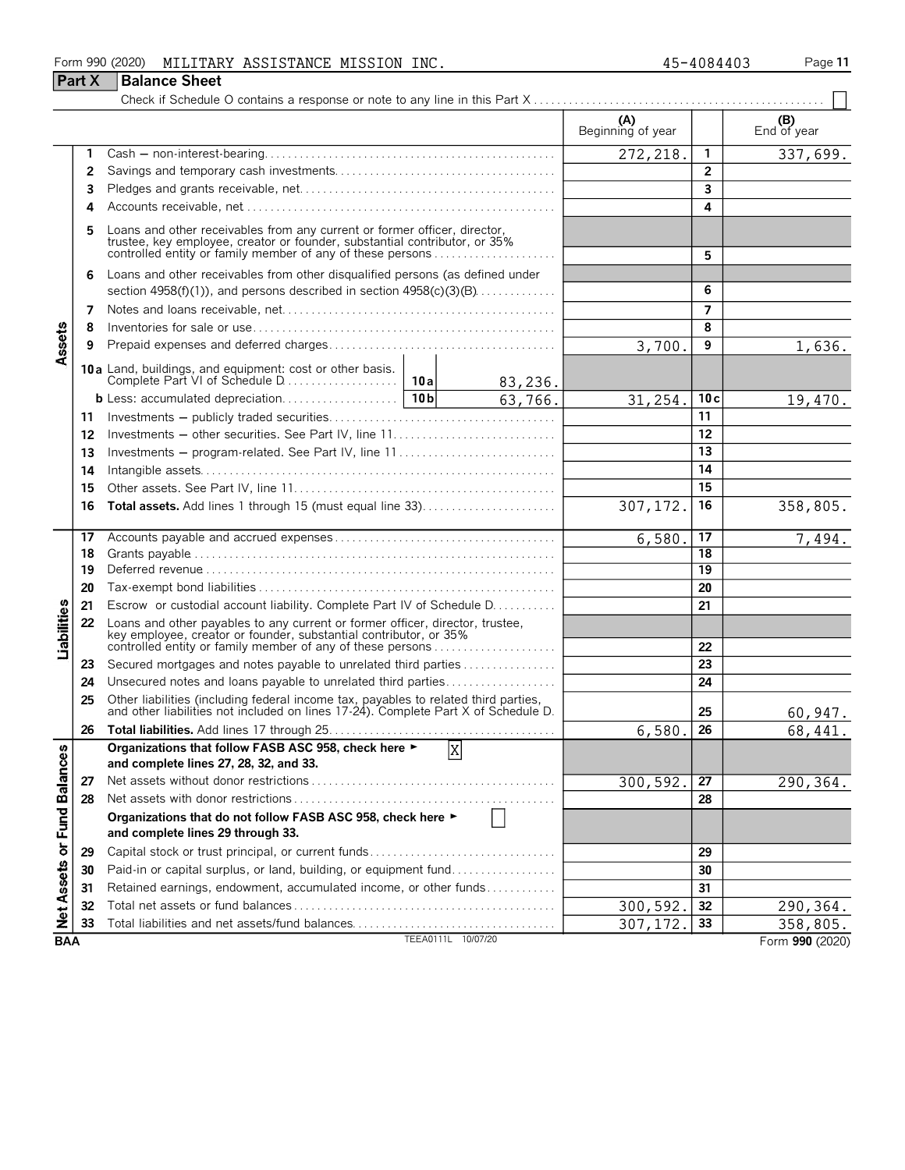|        |               | Form 990 (2020)<br>MILITARY ASSISTANCE MISSION INC.                                                                                                                                                                |     |                |                          | 45-4084403     | Page 11            |
|--------|---------------|--------------------------------------------------------------------------------------------------------------------------------------------------------------------------------------------------------------------|-----|----------------|--------------------------|----------------|--------------------|
|        | <b>Part X</b> | <b>Balance Sheet</b>                                                                                                                                                                                               |     |                |                          |                |                    |
|        |               |                                                                                                                                                                                                                    |     |                |                          |                |                    |
|        |               |                                                                                                                                                                                                                    |     |                | (A)<br>Beginning of year |                | (B)<br>End of year |
|        |               |                                                                                                                                                                                                                    |     |                | 272,218.                 | 1.             | 337,699.           |
|        | 2             |                                                                                                                                                                                                                    |     |                |                          | $\overline{2}$ |                    |
|        | 3             |                                                                                                                                                                                                                    |     |                |                          | 3              |                    |
|        | 4             |                                                                                                                                                                                                                    |     |                |                          | 4              |                    |
|        | 5             | Loans and other receivables from any current or former officer, director, trustee, key employee, creator or founder, substantial contributor, or 35%<br>controlled entity or family member of any of these persons |     |                |                          | 5              |                    |
|        |               |                                                                                                                                                                                                                    |     |                |                          |                |                    |
|        | 6             | Loans and other receivables from other disqualified persons (as defined under<br>section $4958(f)(1)$ , and persons described in section $4958(c)(3)(B)$                                                           |     |                | 6                        |                |                    |
|        | 7             |                                                                                                                                                                                                                    |     | $\overline{7}$ |                          |                |                    |
|        | 8             |                                                                                                                                                                                                                    |     |                |                          | 8              |                    |
| Assets | 9             |                                                                                                                                                                                                                    |     |                | 3,700.                   | 9              | 1,636.             |
|        |               | 10a Land, buildings, and equipment: cost or other basis.<br>Complete Part VI of Schedule D                                                                                                                         | 10a | 83,236.        |                          |                |                    |
|        |               |                                                                                                                                                                                                                    |     | 63,766.        | 31,254.                  | 10c            | 19,470.            |
|        | 11            |                                                                                                                                                                                                                    |     |                |                          | 11             |                    |
|        | 12            |                                                                                                                                                                                                                    |     |                |                          | 12             |                    |
|        | 13            | Investments – program-related. See Part IV, line 11                                                                                                                                                                |     |                |                          | 13             |                    |
|        | 14            |                                                                                                                                                                                                                    |     |                |                          | 14             |                    |
|        | 15            |                                                                                                                                                                                                                    |     |                |                          | 15             |                    |
|        | 16            | <b>Total assets.</b> Add lines 1 through 15 (must equal line 33)                                                                                                                                                   |     |                | 307,172.                 | 16             | 358,805.           |
|        | 17            |                                                                                                                                                                                                                    |     |                | 6,580.                   | 17             | 7,494.             |
|        | 18            |                                                                                                                                                                                                                    |     |                |                          | 18             |                    |

|    |                                                                                                                                                                        |                                                                                                                              | 18 |                 |
|----|------------------------------------------------------------------------------------------------------------------------------------------------------------------------|------------------------------------------------------------------------------------------------------------------------------|----|-----------------|
| 19 |                                                                                                                                                                        |                                                                                                                              | 19 |                 |
| 20 |                                                                                                                                                                        |                                                                                                                              | 20 |                 |
| 21 | Escrow or custodial account liability. Complete Part IV of Schedule D                                                                                                  |                                                                                                                              | 21 |                 |
| 22 | Loans and other payables to any current or former officer, director, trustee,<br>key employee, creator or founder, substantial contributor, or 35%                     |                                                                                                                              |    |                 |
|    |                                                                                                                                                                        |                                                                                                                              |    |                 |
|    |                                                                                                                                                                        |                                                                                                                              |    |                 |
| 24 | Unsecured notes and loans payable to unrelated third parties                                                                                                           |                                                                                                                              | 24 |                 |
| 25 | Other liabilities (including federal income tax, payables to related third parties, and other liabilities not included on lines 17-24). Complete Part X of Schedule D. |                                                                                                                              | 25 | 60,947.         |
| 26 |                                                                                                                                                                        | 6,580.                                                                                                                       | 26 | 68,441.         |
|    | $\overline{\mathrm{x}}$<br>Organizations that follow FASB ASC 958, check here ►<br>and complete lines 27, 28, 32, and 33.                                              |                                                                                                                              |    |                 |
| 27 |                                                                                                                                                                        | 300,592.                                                                                                                     | 27 | 290,364.        |
| 28 |                                                                                                                                                                        |                                                                                                                              | 28 |                 |
|    | Organizations that do not follow FASB ASC 958, check here ►<br>and complete lines 29 through 33.                                                                       |                                                                                                                              |    |                 |
| 29 |                                                                                                                                                                        |                                                                                                                              | 29 |                 |
| 30 | Paid-in or capital surplus, or land, building, or equipment fund                                                                                                       |                                                                                                                              | 30 |                 |
| 31 | Retained earnings, endowment, accumulated income, or other funds                                                                                                       |                                                                                                                              | 31 |                 |
| 32 |                                                                                                                                                                        | 300,592.                                                                                                                     | 32 | 290,364.        |
| 33 |                                                                                                                                                                        | 307,172.                                                                                                                     | 33 | 358,805.        |
|    | TEEA0111L 10/07/20                                                                                                                                                     |                                                                                                                              |    | Form 990 (2020) |
|    | 18<br>23<br><b>BAA</b>                                                                                                                                                 | controlled entity or family member of any of these persons<br>Secured mortgages and notes payable to unrelated third parties |    | 22<br>23        |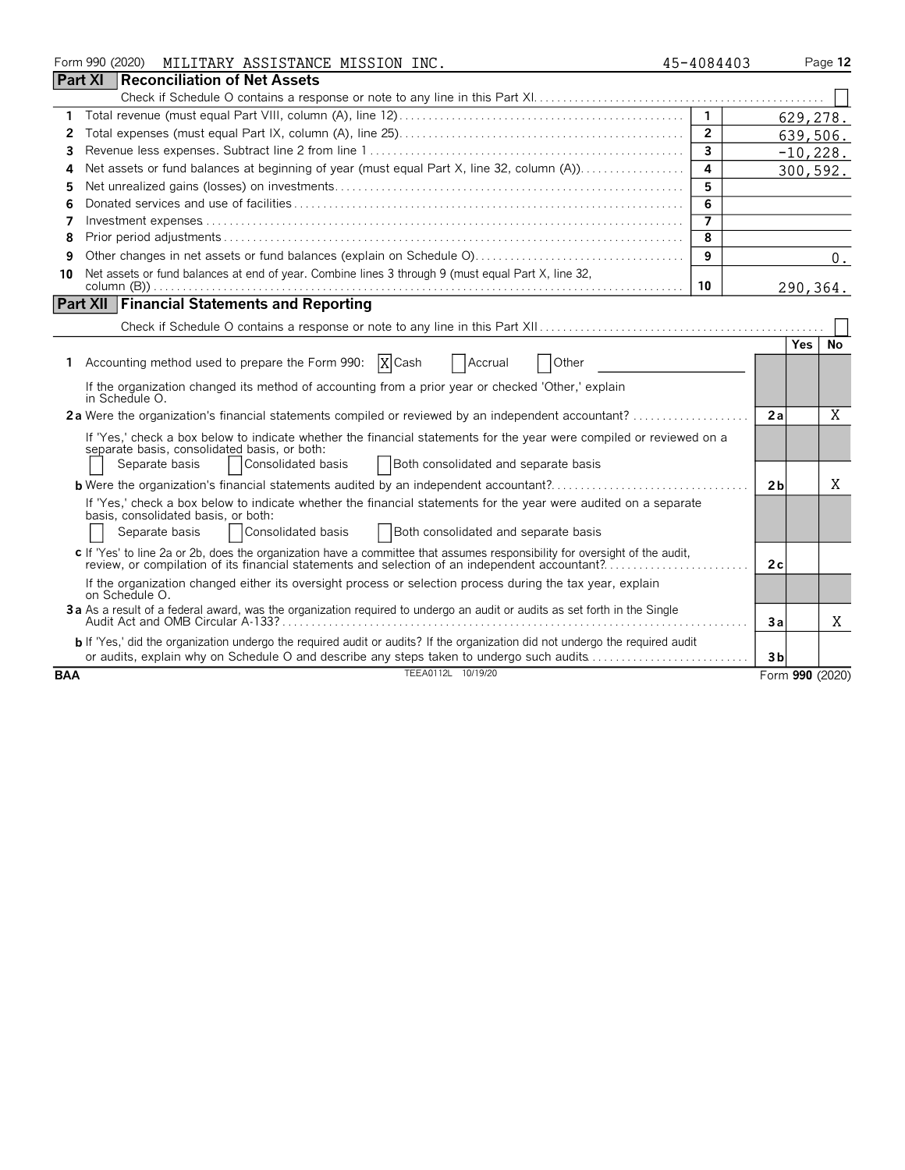|            | Form 990 (2020)<br>MILITARY ASSISTANCE MISSION INC.                                                                                                                                                                                         | 45-4084403              |                |            | Page 12         |
|------------|---------------------------------------------------------------------------------------------------------------------------------------------------------------------------------------------------------------------------------------------|-------------------------|----------------|------------|-----------------|
|            | <b>Part XI</b><br>Reconciliation of Net Assets                                                                                                                                                                                              |                         |                |            |                 |
|            |                                                                                                                                                                                                                                             |                         |                |            |                 |
| 1          |                                                                                                                                                                                                                                             | $\mathbf{1}$            |                |            | 629,278.        |
| 2          |                                                                                                                                                                                                                                             | $\mathbf{2}$            |                |            | 639,506.        |
| 3          |                                                                                                                                                                                                                                             | $\mathbf{3}$            |                |            | $-10,228.$      |
| 4          | Net assets or fund balances at beginning of year (must equal Part X, line 32, column (A))                                                                                                                                                   | $\overline{\mathbf{4}}$ |                |            | 300,592.        |
| 5          |                                                                                                                                                                                                                                             | 5                       |                |            |                 |
| 6          |                                                                                                                                                                                                                                             | 6                       |                |            |                 |
| 7          |                                                                                                                                                                                                                                             |                         |                |            |                 |
| 8          |                                                                                                                                                                                                                                             | 8                       |                |            |                 |
| 9          |                                                                                                                                                                                                                                             | 9                       |                |            | 0.              |
| 10         | Net assets or fund balances at end of year. Combine lines 3 through 9 (must equal Part X, line 32,                                                                                                                                          |                         |                |            |                 |
|            |                                                                                                                                                                                                                                             | 10                      |                |            | 290,364.        |
|            | <b>Part XII Financial Statements and Reporting</b>                                                                                                                                                                                          |                         |                |            |                 |
|            |                                                                                                                                                                                                                                             |                         |                |            |                 |
|            |                                                                                                                                                                                                                                             |                         |                | <b>Yes</b> | <b>No</b>       |
|            | 1 Accounting method used to prepare the Form 990: $ X $ Cash<br>Accrual<br>Other                                                                                                                                                            |                         |                |            |                 |
|            | If the organization changed its method of accounting from a prior year or checked 'Other,' explain<br>in Schedule O.                                                                                                                        |                         |                |            |                 |
|            |                                                                                                                                                                                                                                             |                         | 2a             |            | X               |
|            | If 'Yes,' check a box below to indicate whether the financial statements for the year were compiled or reviewed on a<br>separate basis, consolidated basis, or both:                                                                        |                         |                |            |                 |
|            | Separate basis<br>  Consolidated basis<br>Both consolidated and separate basis                                                                                                                                                              |                         |                |            |                 |
|            | <b>b</b> Were the organization's financial statements audited by an independent accountant?                                                                                                                                                 |                         | 2 <sub>b</sub> |            | X               |
|            | If 'Yes,' check a box below to indicate whether the financial statements for the year were audited on a separate<br>basis, consolidated basis, or both:<br>  Consolidated basis<br>  Both consolidated and separate basis<br>Separate basis |                         |                |            |                 |
|            | c If 'Yes' to line 2a or 2b, does the organization have a committee that assumes responsibility for oversight of the audit,<br>review, or compilation of its financial statements and selection of an independent accountant?               |                         | 2c             |            |                 |
|            | If the organization changed either its oversight process or selection process during the tax year, explain<br>on Schedule O.                                                                                                                |                         |                |            |                 |
|            | 3a As a result of a federal award, was the organization required to undergo an audit or audits as set forth in the Single                                                                                                                   |                         | Зa             |            | Χ               |
|            | b If 'Yes,' did the organization undergo the required audit or audits? If the organization did not undergo the required audit<br>or audits, explain why on Schedule O and describe any steps taken to undergo such audits                   |                         | 3 <sub>b</sub> |            |                 |
| <b>BAA</b> | TEEA0112L 10/19/20                                                                                                                                                                                                                          |                         |                |            | Form 990 (2020) |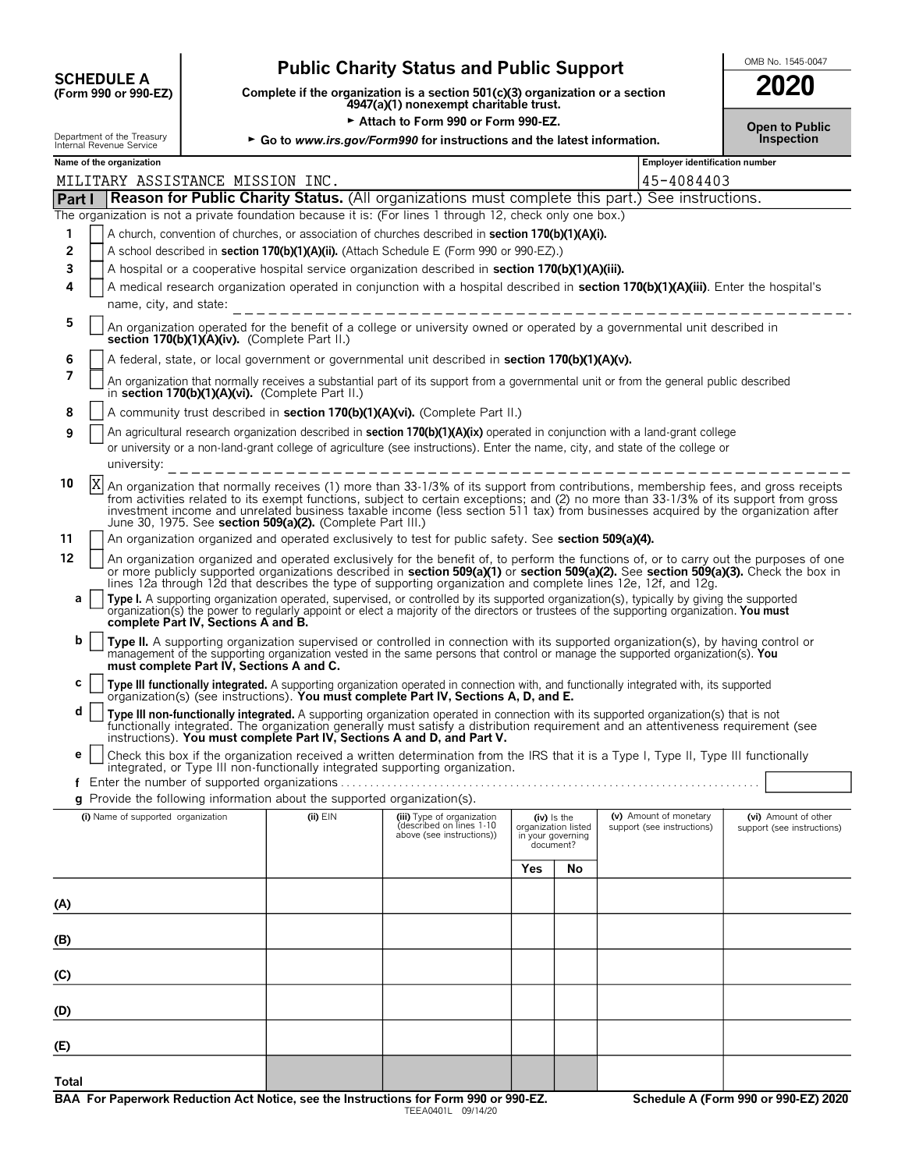| <b>SCHEDULE A</b>    |  |  |
|----------------------|--|--|
| (Form 990 or 990-FZ) |  |  |

# Public Charity Status and Public Support Forms not public Support complete if the organization is a section 501(c)(3) organization or a section

SCHEDULE A<br>(Form 990 or 990-EZ) Complete if the organization is a section 501(c)(3) organization or a section  $\frac{2020}{4947(a)(1)}$  nonexempt charitable trust.

|               |                                                        |                                               |                                                                                 | ► Attach to Form 990 or Form 990-EZ.                                                                                                                                                                                                                                                                                                                                                                               |     |                                                                        |                                                      | <b>Open to Public</b>                              |
|---------------|--------------------------------------------------------|-----------------------------------------------|---------------------------------------------------------------------------------|--------------------------------------------------------------------------------------------------------------------------------------------------------------------------------------------------------------------------------------------------------------------------------------------------------------------------------------------------------------------------------------------------------------------|-----|------------------------------------------------------------------------|------------------------------------------------------|----------------------------------------------------|
|               | Department of the Treasury<br>Internal Revenue Service |                                               |                                                                                 | ► Go to www.irs.gov/Form990 for instructions and the latest information.                                                                                                                                                                                                                                                                                                                                           |     |                                                                        |                                                      | <b>Inspection</b>                                  |
|               | Name of the organization                               |                                               |                                                                                 |                                                                                                                                                                                                                                                                                                                                                                                                                    |     |                                                                        | <b>Employer identification number</b>                |                                                    |
|               | MILITARY ASSISTANCE MISSION INC.                       |                                               |                                                                                 |                                                                                                                                                                                                                                                                                                                                                                                                                    |     |                                                                        | 45-4084403                                           |                                                    |
| <b>Part I</b> |                                                        |                                               |                                                                                 | Reason for Public Charity Status. (All organizations must complete this part.) See instructions.                                                                                                                                                                                                                                                                                                                   |     |                                                                        |                                                      |                                                    |
|               |                                                        |                                               |                                                                                 | The organization is not a private foundation because it is: (For lines 1 through 12, check only one box.)                                                                                                                                                                                                                                                                                                          |     |                                                                        |                                                      |                                                    |
| 1<br>2        |                                                        |                                               |                                                                                 | A church, convention of churches, or association of churches described in section 170(b)(1)(A)(i).<br>A school described in section 170(b)(1)(A)(ii). (Attach Schedule E (Form 990 or 990-EZ).)                                                                                                                                                                                                                    |     |                                                                        |                                                      |                                                    |
| 3             |                                                        |                                               |                                                                                 | A hospital or a cooperative hospital service organization described in section 170(b)(1)(A)(iii).                                                                                                                                                                                                                                                                                                                  |     |                                                                        |                                                      |                                                    |
| 4             | name, city, and state:                                 |                                               |                                                                                 | A medical research organization operated in conjunction with a hospital described in section 170(b)(1)(A)(iii). Enter the hospital's                                                                                                                                                                                                                                                                               |     |                                                                        |                                                      |                                                    |
| 5             |                                                        | section 170(b)(1)(A)(iv). (Complete Part II.) |                                                                                 | An organization operated for the benefit of a college or university owned or operated by a governmental unit described in                                                                                                                                                                                                                                                                                          |     |                                                                        |                                                      |                                                    |
| 6             |                                                        |                                               |                                                                                 | A federal, state, or local government or governmental unit described in section 170(b)(1)(A)(v).                                                                                                                                                                                                                                                                                                                   |     |                                                                        |                                                      |                                                    |
| 7             |                                                        |                                               | in section 170(b)(1)(A)(vi). (Complete Part II.)                                | An organization that normally receives a substantial part of its support from a governmental unit or from the general public described                                                                                                                                                                                                                                                                             |     |                                                                        |                                                      |                                                    |
| 8             |                                                        |                                               |                                                                                 | A community trust described in section 170(b)(1)(A)(vi). (Complete Part II.)                                                                                                                                                                                                                                                                                                                                       |     |                                                                        |                                                      |                                                    |
| 9             | university:                                            |                                               |                                                                                 | An agricultural research organization described in section 170(b)(1)(A)(ix) operated in conjunction with a land-grant college<br>or university or a non-land-grant college of agriculture (see instructions). Enter the name, city, and state of the college or                                                                                                                                                    |     |                                                                        |                                                      |                                                    |
| 10            | ΙX                                                     |                                               | June 30, 1975. See section 509(a)(2). (Complete Part III.)                      | An organization that normally receives (1) more than 33-1/3% of its support from contributions, membership fees, and gross receipts<br>from activities related to its exempt functions, subject to certain exceptions; and (2) no more than 33-1/3% of its support from gross<br>investment income and unrelated business taxable income (less section 511 tax) from businesses acquired by the organization after |     |                                                                        |                                                      |                                                    |
| 11            |                                                        |                                               |                                                                                 | An organization organized and operated exclusively to test for public safety. See section 509(a)(4).                                                                                                                                                                                                                                                                                                               |     |                                                                        |                                                      |                                                    |
| 12            |                                                        |                                               |                                                                                 | An organization organized and operated exclusively for the benefit of, to perform the functions of, or to carry out the purposes of one<br>or more publicly supported organizations described in section 509(a)(1) or section 509(a)(2). See section 509(a)(3). Check the box in<br>lines 12a through 12d that describes the type of supporting organization and complete lines 12e, 12f, and 12g.                 |     |                                                                        |                                                      |                                                    |
| a             |                                                        | complete Part IV, Sections A and B.           |                                                                                 | Type I. A supporting organization operated, supervised, or controlled by its supported organization(s), typically by giving the supported organization(s) the power to regularly appoint or elect a majority of the directors                                                                                                                                                                                      |     |                                                                        |                                                      |                                                    |
| b             |                                                        | must complete Part IV, Sections A and C.      |                                                                                 | Type II. A supporting organization supervised or controlled in connection with its supported organization(s), by having control or<br>management of the supporting organization vested in the same persons that control or manage the supported organization(s). You                                                                                                                                               |     |                                                                        |                                                      |                                                    |
| c             |                                                        |                                               |                                                                                 | Type III functionally integrated. A supporting organization operated in connection with, and functionally integrated with, its supported organization(s) (see instructions). You must complete Part IV, Sections A, D, and E.                                                                                                                                                                                      |     |                                                                        |                                                      |                                                    |
| d             |                                                        |                                               |                                                                                 | Type III non-functionally integrated. A supporting organization operated in connection with its supported organization(s) that is not functionally integrated. The organization generally must satisfy a distribution requirem<br>instructions). You must complete Part IV, Sections A and D, and Part V.                                                                                                          |     |                                                                        |                                                      |                                                    |
| е             |                                                        |                                               |                                                                                 | Check this box if the organization received a written determination from the IRS that it is a Type I, Type II, Type III functionally<br>integrated, or Type III non-functionally integrated supporting organization.                                                                                                                                                                                               |     |                                                                        |                                                      |                                                    |
|               |                                                        |                                               |                                                                                 |                                                                                                                                                                                                                                                                                                                                                                                                                    |     |                                                                        |                                                      |                                                    |
|               |                                                        |                                               | <b>g</b> Provide the following information about the supported organization(s). |                                                                                                                                                                                                                                                                                                                                                                                                                    |     |                                                                        |                                                      |                                                    |
|               | (i) Name of supported organization                     |                                               | $(ii)$ $EIN$                                                                    | (iii) Type of organization<br>(described on lines 1-10<br>above (see instructions))                                                                                                                                                                                                                                                                                                                                |     | $(iv)$ is the<br>organization listed<br>in your governing<br>document? | (v) Amount of monetary<br>support (see instructions) | (vi) Amount of other<br>support (see instructions) |
|               |                                                        |                                               |                                                                                 |                                                                                                                                                                                                                                                                                                                                                                                                                    | Yes | No                                                                     |                                                      |                                                    |
|               |                                                        |                                               |                                                                                 |                                                                                                                                                                                                                                                                                                                                                                                                                    |     |                                                                        |                                                      |                                                    |
| (A)           |                                                        |                                               |                                                                                 |                                                                                                                                                                                                                                                                                                                                                                                                                    |     |                                                                        |                                                      |                                                    |
| (B)           |                                                        |                                               |                                                                                 |                                                                                                                                                                                                                                                                                                                                                                                                                    |     |                                                                        |                                                      |                                                    |
| (C)           |                                                        |                                               |                                                                                 |                                                                                                                                                                                                                                                                                                                                                                                                                    |     |                                                                        |                                                      |                                                    |
| (D)           |                                                        |                                               |                                                                                 |                                                                                                                                                                                                                                                                                                                                                                                                                    |     |                                                                        |                                                      |                                                    |
| (E)           |                                                        |                                               |                                                                                 |                                                                                                                                                                                                                                                                                                                                                                                                                    |     |                                                                        |                                                      |                                                    |
| Total         |                                                        |                                               |                                                                                 |                                                                                                                                                                                                                                                                                                                                                                                                                    |     |                                                                        |                                                      |                                                    |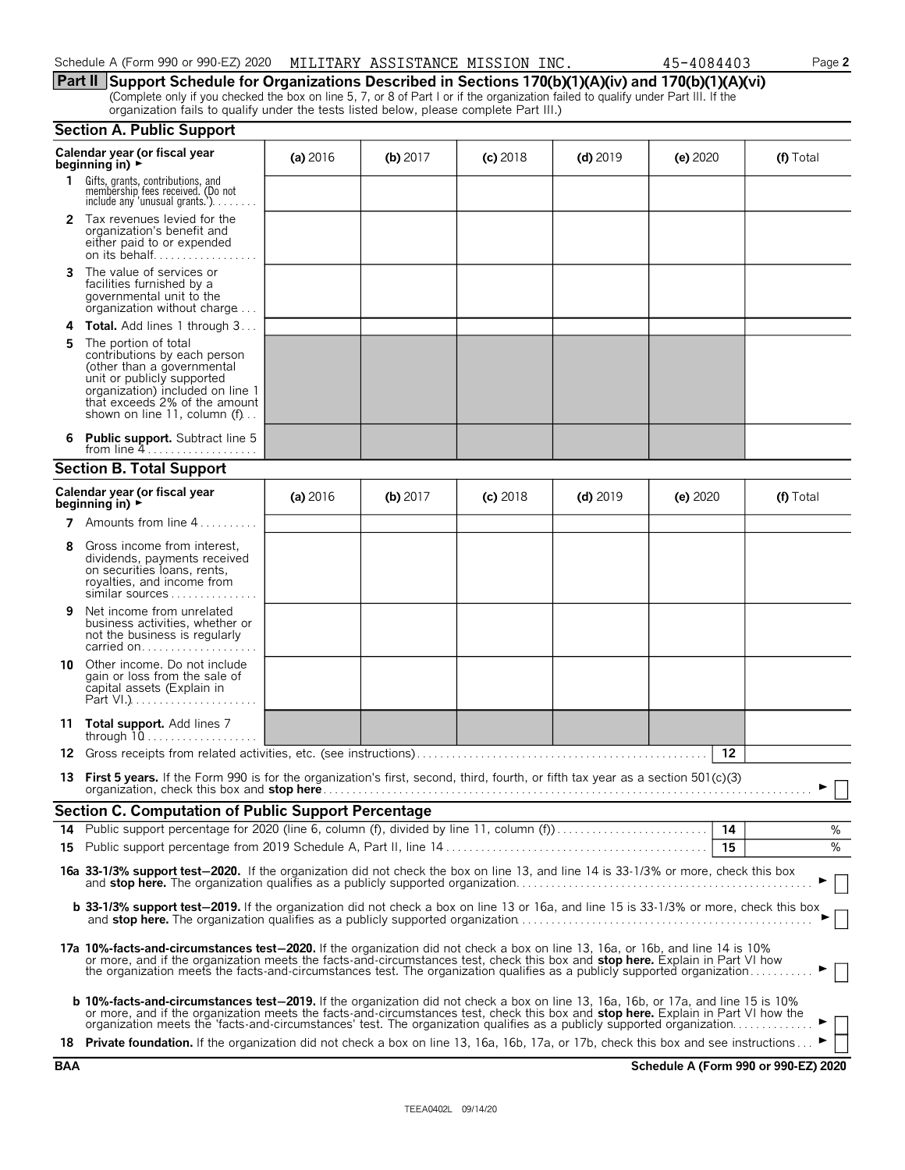Part II Support Schedule for Organizations Described in Sections 170(b)(1)(A)(iv) and 170(b)(1)(A)(vi) (Complete only if you checked the box on line 5, 7, or 8 of Part I or if the organization failed to qualify under Part III. If the organization fails to qualify under the tests listed below, please complete Part III.)

#### Section A. Public Support

|     | Calendar year (or fiscal year<br>beginning in) ►                                                                                                                                                                                                                                                                                                                                                        | (a) $2016$ | (b) $2017$ | $(c)$ 2018 | $(d)$ 2019 | (e) $2020$ | (f) Total |
|-----|---------------------------------------------------------------------------------------------------------------------------------------------------------------------------------------------------------------------------------------------------------------------------------------------------------------------------------------------------------------------------------------------------------|------------|------------|------------|------------|------------|-----------|
| 1.  | Gifts, grants, contributions, and<br>membership fees received. (Do not<br>include any 'unusual grants.').                                                                                                                                                                                                                                                                                               |            |            |            |            |            |           |
|     | 2 Tax revenues levied for the<br>organization's benefit and<br>either paid to or expended<br>on its behalf                                                                                                                                                                                                                                                                                              |            |            |            |            |            |           |
| 3   | The value of services or<br>facilities furnished by a<br>governmental unit to the<br>organization without charge                                                                                                                                                                                                                                                                                        |            |            |            |            |            |           |
|     | <b>Total.</b> Add lines 1 through 3                                                                                                                                                                                                                                                                                                                                                                     |            |            |            |            |            |           |
| 5   | The portion of total<br>contributions by each person<br>(other than a governmental<br>unit or publicly supported<br>organization) included on line 1<br>that exceeds 2% of the amount<br>shown on line 11, column (f)                                                                                                                                                                                   |            |            |            |            |            |           |
|     | <b>Public support.</b> Subtract line 5<br>from line $4$                                                                                                                                                                                                                                                                                                                                                 |            |            |            |            |            |           |
|     | <b>Section B. Total Support</b>                                                                                                                                                                                                                                                                                                                                                                         |            |            |            |            |            |           |
|     | Calendar year (or fiscal year<br>beginning in) ►                                                                                                                                                                                                                                                                                                                                                        | (a) $2016$ | (b) $2017$ | $(c)$ 2018 | $(d)$ 2019 | (e) $2020$ | (f) Total |
|     | <b>7</b> Amounts from line $4, \ldots, \ldots$                                                                                                                                                                                                                                                                                                                                                          |            |            |            |            |            |           |
| 8   | Gross income from interest,<br>dividends, payments received<br>on securities loans, rents,<br>royalties, and income from<br>similar sources                                                                                                                                                                                                                                                             |            |            |            |            |            |           |
| 9   | Net income from unrelated<br>business activities, whether or<br>not the business is regularly<br>carried on                                                                                                                                                                                                                                                                                             |            |            |            |            |            |           |
| 10. | Other income. Do not include<br>gain or loss from the sale of<br>capital assets (Explain in                                                                                                                                                                                                                                                                                                             |            |            |            |            |            |           |
|     | 11 Total support. Add lines 7                                                                                                                                                                                                                                                                                                                                                                           |            |            |            |            |            |           |
| 12  |                                                                                                                                                                                                                                                                                                                                                                                                         |            |            |            |            | 12         |           |
|     | 13 First 5 years. If the Form 990 is for the organization's first, second, third, fourth, or fifth tax year as a section 501(c)(3)                                                                                                                                                                                                                                                                      |            |            |            |            |            |           |
|     | <b>Section C. Computation of Public Support Percentage</b>                                                                                                                                                                                                                                                                                                                                              |            |            |            |            |            |           |
|     |                                                                                                                                                                                                                                                                                                                                                                                                         |            |            |            |            |            | %         |
|     |                                                                                                                                                                                                                                                                                                                                                                                                         |            |            |            |            | 15         | %         |
|     | 16a 33-1/3% support test-2020. If the organization did not check the box on line 13, and line 14 is 33-1/3% or more, check this box                                                                                                                                                                                                                                                                     |            |            |            |            |            |           |
|     | b 33-1/3% support test-2019. If the organization did not check a box on line 13 or 16a, and line 15 is 33-1/3% or more, check this box                                                                                                                                                                                                                                                                  |            |            |            |            |            |           |
|     | 17a 10%-facts-and-circumstances test-2020. If the organization did not check a box on line 13, 16a, or 16b, and line 14 is 10%<br>or more, and if the organization meets the facts-and-circumstances test, check this box and stop here. Explain in Part VI how<br>the organization meets the facts-and-circumstances test. The organization qualifies as a publicly supported organization             |            |            |            |            |            |           |
|     | <b>b 10%-facts-and-circumstances test-2019.</b> If the organization did not check a box on line 13, 16a, 16b, or 17a, and line 15 is 10%<br>or more, and if the organization meets the facts-and-circumstances test, check this box and stop here. Explain in Part VI how the<br>organization meets the 'facts-and-circumstances' test. The organization qualifies as a publicly supported organization |            |            |            |            |            |           |
|     | 18 Private foundation. If the organization did not check a box on line 13, 16a, 16b, 17a, or 17b, check this box and see instructions                                                                                                                                                                                                                                                                   |            |            |            |            |            |           |

BAA Schedule A (Form 990 or 990-EZ) 2020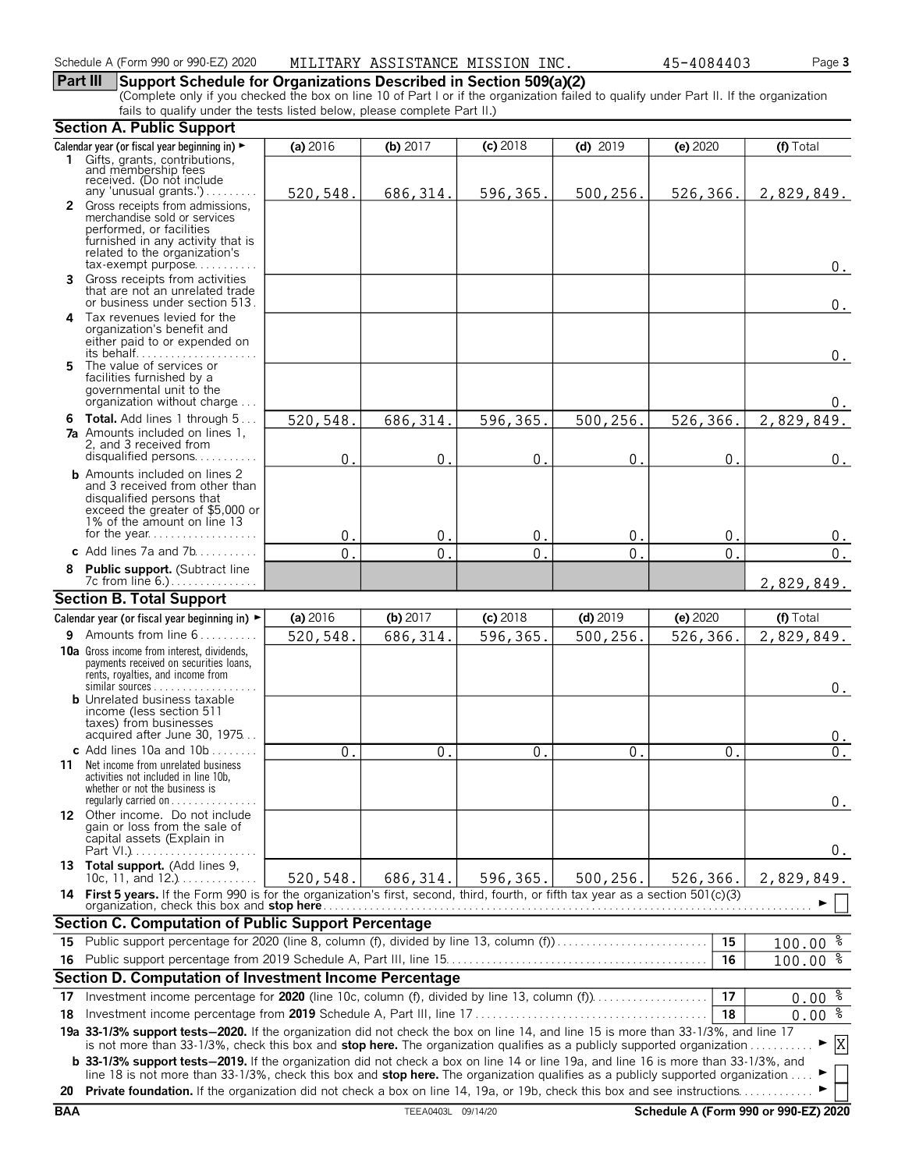#### Part III Support Schedule for Organizations Described in Section 509(a)(2)

Schedule A (Form 990 or 990-EZ) 2020 MILITARY ASSISTANCE MISSION INC.<br> **Part III** Support Schedule for Organizations Described in Section 509(a)(2)<br>
(Complete only if you checked the box on line 10 of Part I or if the orga (Complete only if you checked the box on line 10 of Part I or if the organization failed to qualify under Part II. If the organization fails to qualify under the tests listed below, please complete Part II.)

|            | <b>Section A. Public Support</b>                                                                                                                                                                                                                                              |              |                    |                |                |                |                                      |
|------------|-------------------------------------------------------------------------------------------------------------------------------------------------------------------------------------------------------------------------------------------------------------------------------|--------------|--------------------|----------------|----------------|----------------|--------------------------------------|
|            | Calendar year (or fiscal year beginning in) ►                                                                                                                                                                                                                                 | (a) 2016     | (b) $2017$         | (c) 2018       | (d) $2019$     | (e) 2020       | (f) Total                            |
|            | 1 Gifts, grants, contributions,                                                                                                                                                                                                                                               |              |                    |                |                |                |                                      |
|            | and membership fees<br>received. (Do not include<br>any 'unusual grants.')                                                                                                                                                                                                    |              |                    |                |                |                |                                      |
|            | 2 Gross receipts from admissions,                                                                                                                                                                                                                                             | 520,548.     | 686, 314.          | 596,365.       | 500,256.       | 526,366.       | 2,829,849.                           |
|            | merchandise sold or services                                                                                                                                                                                                                                                  |              |                    |                |                |                |                                      |
|            | performed, or facilities                                                                                                                                                                                                                                                      |              |                    |                |                |                |                                      |
|            | furnished in any activity that is<br>related to the organization's                                                                                                                                                                                                            |              |                    |                |                |                |                                      |
|            | $tax\text{-}exempt$ purpose                                                                                                                                                                                                                                                   |              |                    |                |                |                | 0.                                   |
|            | 3 Gross receipts from activities                                                                                                                                                                                                                                              |              |                    |                |                |                |                                      |
|            | that are not an unrelated trade<br>or business under section 513.                                                                                                                                                                                                             |              |                    |                |                |                | $0$ .                                |
|            | 4 Tax revenues levied for the                                                                                                                                                                                                                                                 |              |                    |                |                |                |                                      |
|            | organization's benefit and                                                                                                                                                                                                                                                    |              |                    |                |                |                |                                      |
|            | either paid to or expended on                                                                                                                                                                                                                                                 |              |                    |                |                |                | 0.                                   |
| 5.         | The value of services or                                                                                                                                                                                                                                                      |              |                    |                |                |                |                                      |
|            | facilities furnished by a<br>governmental unit to the                                                                                                                                                                                                                         |              |                    |                |                |                |                                      |
|            | organization without charge                                                                                                                                                                                                                                                   |              |                    |                |                |                | 0.                                   |
|            | <b>6 Total.</b> Add lines 1 through 5                                                                                                                                                                                                                                         | 520,548.     | 686, 314.          | 596,365.       | 500,256.       | 526,366.       | 2,829,849.                           |
|            | <b>7a</b> Amounts included on lines 1,                                                                                                                                                                                                                                        |              |                    |                |                |                |                                      |
|            | 2. and 3 received from<br>disqualified persons                                                                                                                                                                                                                                |              |                    |                |                |                |                                      |
|            | <b>b</b> Amounts included on lines 2                                                                                                                                                                                                                                          | $\mathsf{O}$ | $\mathbf 0$        | $\mathbf 0$ .  | $\mathbf 0$ .  | 0.             | 0.                                   |
|            | and 3 received from other than                                                                                                                                                                                                                                                |              |                    |                |                |                |                                      |
|            | disqualified persons that<br>exceed the greater of \$5,000 or                                                                                                                                                                                                                 |              |                    |                |                |                |                                      |
|            | 1% of the amount on line 13                                                                                                                                                                                                                                                   |              |                    |                |                |                |                                      |
|            | for the year                                                                                                                                                                                                                                                                  | 0.           | $\mathsf{O}$ .     | 0.             | $0$ .          | 0.             | 0.                                   |
|            | c Add lines $7a$ and $7b$                                                                                                                                                                                                                                                     | $\Omega$     | $\mathbf 0$        | $\mathbf{0}$ . | $\mathbf{0}$ . | $\mathbf 0$ .  | $\mathbf 0$ .                        |
|            | Public support. (Subtract line<br>7c from line 6.)                                                                                                                                                                                                                            |              |                    |                |                |                |                                      |
|            | <b>Section B. Total Support</b>                                                                                                                                                                                                                                               |              |                    |                |                |                | 2,829,849.                           |
|            | Calendar year (or fiscal year beginning in) ►                                                                                                                                                                                                                                 | (a) 2016     | (b) 2017           | $(c)$ 2018     | $(d)$ 2019     | (e) 2020       | (f) Total                            |
|            | <b>9</b> Amounts from line $6$                                                                                                                                                                                                                                                | 520,548.     | 686, 314.          | 596,365.       | 500,256.       | 526,366.       | 2,829,849.                           |
|            | <b>10a</b> Gross income from interest, dividends,                                                                                                                                                                                                                             |              |                    |                |                |                |                                      |
|            | payments received on securities loans,                                                                                                                                                                                                                                        |              |                    |                |                |                |                                      |
|            | rents, royalties, and income from<br>similar sources                                                                                                                                                                                                                          |              |                    |                |                |                | $\boldsymbol{0}$ .                   |
|            | <b>b</b> Unrelated business taxable                                                                                                                                                                                                                                           |              |                    |                |                |                |                                      |
|            | income (less section 511                                                                                                                                                                                                                                                      |              |                    |                |                |                |                                      |
|            | taxes) from businesses<br>acquired after June 30, 1975                                                                                                                                                                                                                        |              |                    |                |                |                | 0.                                   |
|            | c Add lines $10a$ and $10b$                                                                                                                                                                                                                                                   | $0$ .        | $\mathbf{0}$ .     | $\mathbf{0}$ . | $\mathbf{0}$ . | $\mathbf{0}$ . | 0.                                   |
|            | <b>11</b> Net income from unrelated business                                                                                                                                                                                                                                  |              |                    |                |                |                |                                      |
|            | activities not included in line 10b,                                                                                                                                                                                                                                          |              |                    |                |                |                |                                      |
|            | whether or not the business is<br>regularly carried on $\dots\dots\dots\dots$                                                                                                                                                                                                 |              |                    |                |                |                | 0.                                   |
|            | 12 Other income. Do not include                                                                                                                                                                                                                                               |              |                    |                |                |                |                                      |
|            | gain or loss from the sale of<br>capital assets (Explain in                                                                                                                                                                                                                   |              |                    |                |                |                |                                      |
|            |                                                                                                                                                                                                                                                                               |              |                    |                |                |                | 0.                                   |
|            | 13 Total support. (Add lines 9,                                                                                                                                                                                                                                               |              |                    |                |                |                |                                      |
|            | 10c, 11, and 12.) $\ldots$<br>14 First 5 years. If the Form 990 is for the organization's first, second, third, fourth, or fifth tax year as a section 501(c)(3)                                                                                                              | 520,548.     | 686, 314.          | 596,365.       | 500,256.       | 526,366.       | 2,829,849.                           |
|            | organization, check this box and <b>stop here</b>                                                                                                                                                                                                                             |              |                    |                |                |                |                                      |
|            | <b>Section C. Computation of Public Support Percentage</b>                                                                                                                                                                                                                    |              |                    |                |                |                |                                      |
| 15         | Public support percentage for 2020 (line 8, column (f), divided by line 13, column (f)                                                                                                                                                                                        |              |                    |                |                | 15             | $100.00$ $%$                         |
| 16.        |                                                                                                                                                                                                                                                                               |              |                    |                |                | 16             | $100.00$ %                           |
|            | Section D. Computation of Investment Income Percentage                                                                                                                                                                                                                        |              |                    |                |                |                |                                      |
| 17         | Investment income percentage for 2020 (line 10c, column (f), divided by line 13, column (f))                                                                                                                                                                                  |              |                    |                |                | 17             | $0.00$ $%$                           |
| 18         |                                                                                                                                                                                                                                                                               |              |                    |                |                | 18             | $0.00 \frac{2}{3}$                   |
|            | 19a 33-1/3% support tests-2020. If the organization did not check the box on line 14, and line 15 is more than 33-1/3%, and line 17                                                                                                                                           |              |                    |                |                |                |                                      |
|            | is not more than 33-1/3%, check this box and stop here. The organization qualifies as a publicly supported organization                                                                                                                                                       |              |                    |                |                |                | X                                    |
|            | <b>b</b> 33-1/3% support tests-2019. If the organization did not check a box on line 14 or line 19a, and line 16 is more than 33-1/3%, and<br>line 18 is not more than 33-1/3%, check this box and stop here. The organization qualifies as a publicly supported organization |              |                    |                |                |                |                                      |
| 20         | Private foundation. If the organization did not check a box on line 14, 19a, or 19b, check this box and see instructions                                                                                                                                                      |              |                    |                |                |                |                                      |
| <b>BAA</b> |                                                                                                                                                                                                                                                                               |              | TEEA0403L 09/14/20 |                |                |                | Schedule A (Form 990 or 990-EZ) 2020 |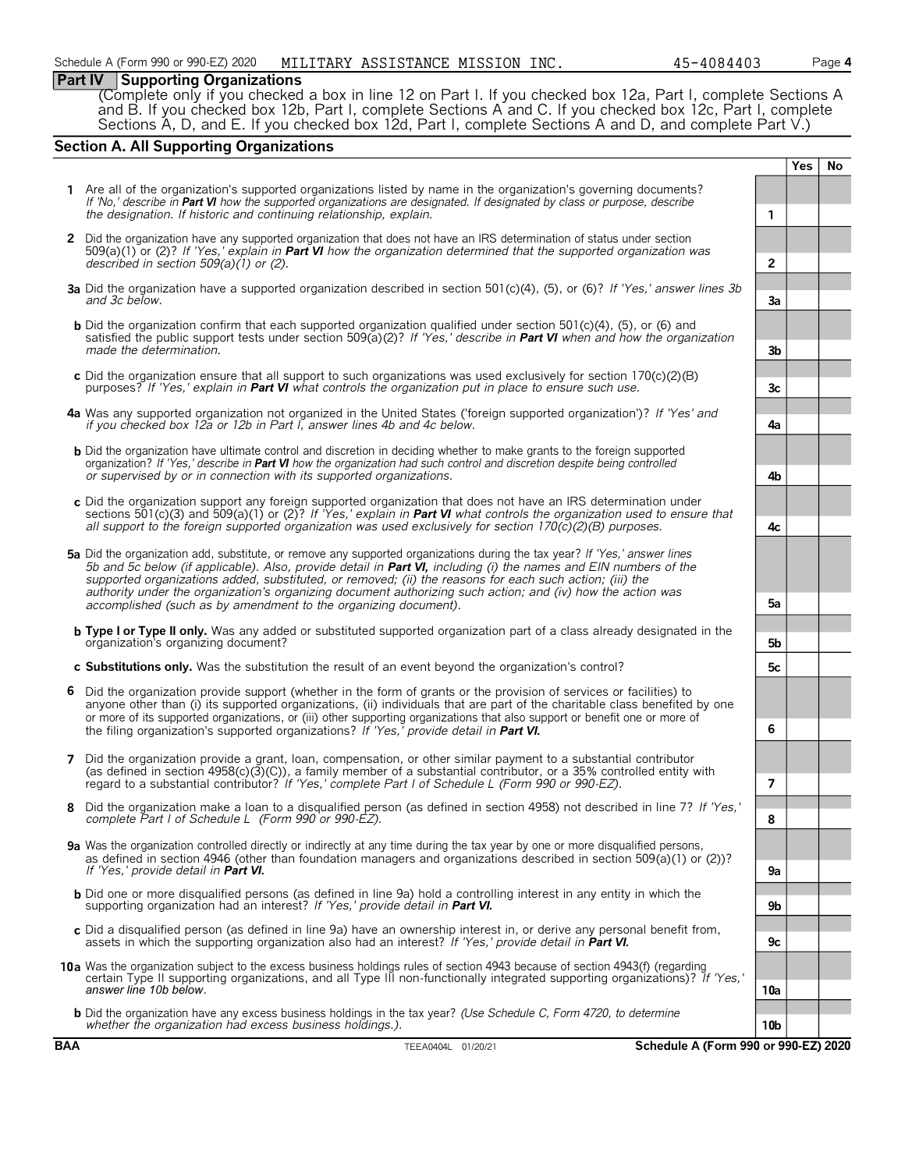#### **Part IV Supporting Organizations**

(Complete only if you checked a box in line 12 on Part I. If you checked box 12a, Part I, complete Sections A and B. If you checked box 12b, Part I, complete Sections A and C. If you checked box 12c, Part I, complete Sections A, D, and E. If you checked box 12d, Part I, complete Sections A and D, and complete Part V.)

#### Section A. All Supporting Organizations

|              |                                                                                                                                                                                                                                                                                                                                                                                                                                                                                                                                                      |                | Yes | No |
|--------------|------------------------------------------------------------------------------------------------------------------------------------------------------------------------------------------------------------------------------------------------------------------------------------------------------------------------------------------------------------------------------------------------------------------------------------------------------------------------------------------------------------------------------------------------------|----------------|-----|----|
|              |                                                                                                                                                                                                                                                                                                                                                                                                                                                                                                                                                      |                |     |    |
|              | 1 Are all of the organization's supported organizations listed by name in the organization's governing documents?<br>If 'No,' describe in Part VI how the supported organizations are designated. If designated by class or purpose, describe<br>the designation. If historic and continuing relationship, explain.                                                                                                                                                                                                                                  | 1              |     |    |
| $\mathbf{2}$ | Did the organization have any supported organization that does not have an IRS determination of status under section<br>509(a)(1) or (2)? If 'Yes,' explain in <b>Part VI</b> how the organization determined that the supported organization was                                                                                                                                                                                                                                                                                                    |                |     |    |
|              | described in section $509(a)(1)$ or (2).                                                                                                                                                                                                                                                                                                                                                                                                                                                                                                             | $\overline{2}$ |     |    |
|              | 3a Did the organization have a supported organization described in section 501(c)(4), (5), or (6)? If 'Yes,' answer lines 3b                                                                                                                                                                                                                                                                                                                                                                                                                         |                |     |    |
|              | and 3c below.                                                                                                                                                                                                                                                                                                                                                                                                                                                                                                                                        | 3a             |     |    |
|              | <b>b</b> Did the organization confirm that each supported organization qualified under section 501 $(c)(4)$ , $(5)$ , or $(6)$ and<br>satisfied the public support tests under section 509(a)(2)? If 'Yes,' describe in Part VI when and how the organization                                                                                                                                                                                                                                                                                        |                |     |    |
|              | made the determination.                                                                                                                                                                                                                                                                                                                                                                                                                                                                                                                              | 3b             |     |    |
|              | c Did the organization ensure that all support to such organizations was used exclusively for section $170(c)(2)(B)$<br>purposes? If 'Yes,' explain in <b>Part VI</b> what controls the organization put in place to ensure such use.                                                                                                                                                                                                                                                                                                                | 3c             |     |    |
|              | 4a Was any supported organization not organized in the United States ('foreign supported organization')? If 'Yes' and<br>if you checked box 12a or 12b in Part I, answer lines 4b and 4c below.                                                                                                                                                                                                                                                                                                                                                      | 4a             |     |    |
|              | <b>b</b> Did the organization have ultimate control and discretion in deciding whether to make grants to the foreign supported<br>organization? If 'Yes,' describe in Part VI how the organization had such control and discretion despite being controlled<br>or supervised by or in connection with its supported organizations.                                                                                                                                                                                                                   | 4b             |     |    |
|              | c Did the organization support any foreign supported organization that does not have an IRS determination under<br>sections 501(c)(3) and 509(a)(1) or (2)? If 'Yes,' explain in <b>Part VI</b> what controls the organization used to ensure that<br>all support to the foreign supported organization was used exclusively for section $170(c)(2)(B)$ purposes.                                                                                                                                                                                    | 4с             |     |    |
|              | 5a Did the organization add, substitute, or remove any supported organizations during the tax year? If 'Yes,' answer lines<br>5b and 5c below (if applicable). Also, provide detail in <b>Part VI</b> , including (i) the names and EIN numbers of the<br>supported organizations added, substituted, or removed; (ii) the reasons for each such action; (iii) the<br>authority under the organization's organizing document authorizing such action; and (iv) how the action was<br>accomplished (such as by amendment to the organizing document). | 5a             |     |    |
|              | <b>b</b> Type I or Type II only. Was any added or substituted supported organization part of a class already designated in the<br>organization's organizing document?                                                                                                                                                                                                                                                                                                                                                                                | 5b             |     |    |
|              | c Substitutions only. Was the substitution the result of an event beyond the organization's control?                                                                                                                                                                                                                                                                                                                                                                                                                                                 | 5c             |     |    |
|              | 6 Did the organization provide support (whether in the form of grants or the provision of services or facilities) to<br>anyone other than (i) its supported organizations, (ii) individuals that are part of the charitable class benefited by one<br>or more of its supported organizations, or (iii) other supporting organizations that also support or benefit one or more of<br>the filing organization's supported organizations? If 'Yes,' provide detail in Part VI.                                                                         | 6              |     |    |
| 7            | Did the organization provide a grant, loan, compensation, or other similar payment to a substantial contributor<br>(as defined in section $4958(c)(3)(C)$ ), a family member of a substantial contributor, or a 35% controlled entity with<br>regard to a substantial contributor? If 'Yes,' complete Part I of Schedule L (Form 990 or 990-EZ).                                                                                                                                                                                                     | 7              |     |    |
|              | 8 Did the organization make a loan to a disqualified person (as defined in section 4958) not described in line 7? If 'Yes,'<br>complete Part I of Schedule L (Form 990 or 990-EZ).                                                                                                                                                                                                                                                                                                                                                                   | ୪              |     |    |
|              | 9a Was the organization controlled directly or indirectly at any time during the tax year by one or more disqualified persons,<br>as defined in section 4946 (other than foundation managers and organizations described in section 509(a)(1) or (2))?<br>If 'Yes,' provide detail in Part VI.                                                                                                                                                                                                                                                       | 9a             |     |    |
|              | <b>b</b> Did one or more disqualified persons (as defined in line 9a) hold a controlling interest in any entity in which the<br>supporting organization had an interest? If 'Yes,' provide detail in Part VI.                                                                                                                                                                                                                                                                                                                                        | 9b             |     |    |
|              | c Did a disqualified person (as defined in line 9a) have an ownership interest in, or derive any personal benefit from,<br>assets in which the supporting organization also had an interest? If 'Yes,' provide detail in Part VI.                                                                                                                                                                                                                                                                                                                    | 9c             |     |    |
|              | 10a Was the organization subject to the excess business holdings rules of section 4943 because of section 4943(f) (regarding<br>certain Type II supporting organizations, and all Type III non-functionally integrated supporting organizations)? If 'Yes,'                                                                                                                                                                                                                                                                                          |                |     |    |
|              | answer line 10b below.                                                                                                                                                                                                                                                                                                                                                                                                                                                                                                                               | 10a            |     |    |
|              | <b>b</b> Did the organization have any excess business holdings in the tax year? (Use Schedule C, Form 4720, to determine<br>whether the organization had excess business holdings.).                                                                                                                                                                                                                                                                                                                                                                | 10b            |     |    |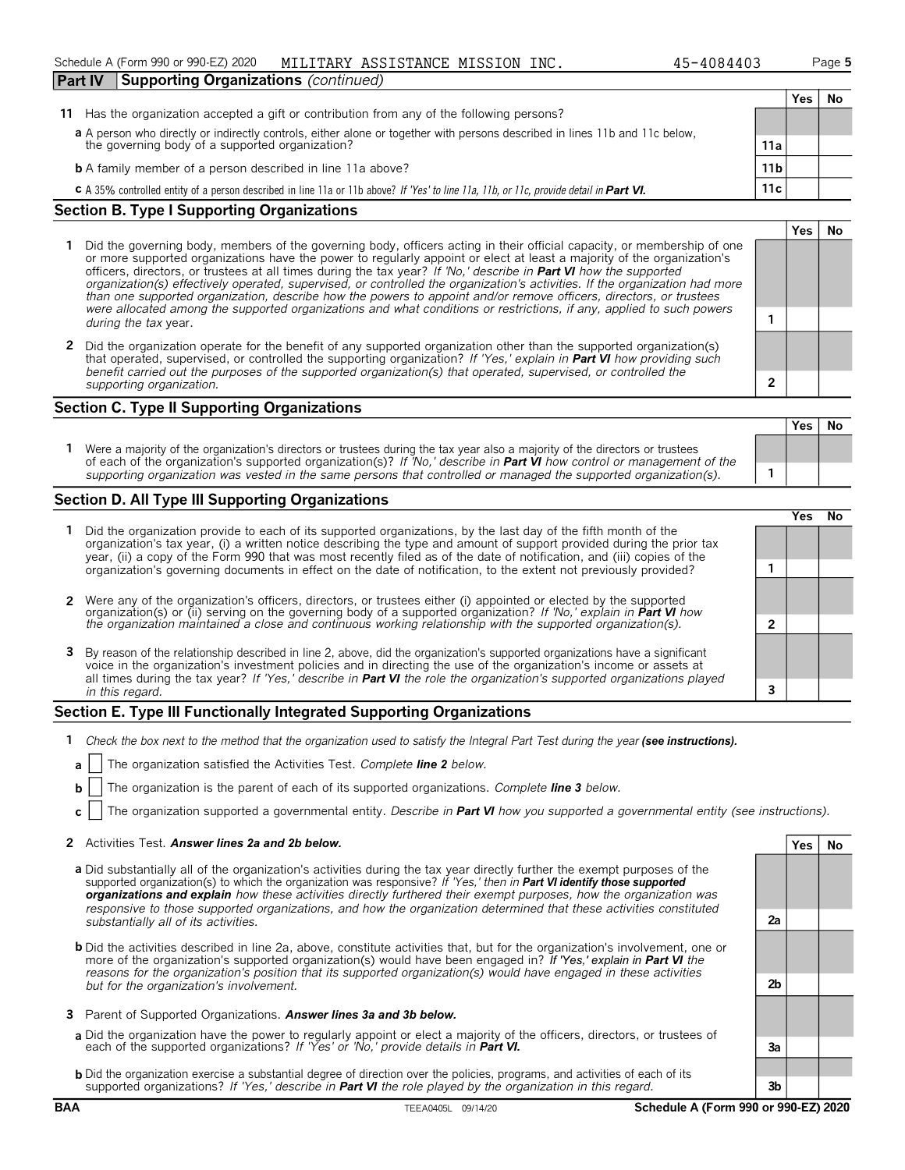| <b>Part IV</b>                                                                                                              | <b>Supporting Organizations (continued)</b>                                             |      |  |  |  |
|-----------------------------------------------------------------------------------------------------------------------------|-----------------------------------------------------------------------------------------|------|--|--|--|
|                                                                                                                             |                                                                                         | Yes. |  |  |  |
|                                                                                                                             | Has the organization accepted a gift or contribution from any of the following persons? |      |  |  |  |
| a A person who directly or indirectly controls, either alone or together with persons described in lines 11b and 11c below, |                                                                                         |      |  |  |  |
|                                                                                                                             | the governing body of a supported organization?<br>11a                                  |      |  |  |  |

**b** A family member of a person described in line 11a above? **b** A family member of a person described in line 11a above?

**c** A 35% controlled entity of a person described in line 11a or 11b above? If 'Yes' to line 11a, 11b, or 11c, provide detail in **Part VI.**  $\vert$  11c

#### Section B. Type I Supporting Organizations

- 1 Did the governing body, members of the governing body, officers acting in their official capacity, or membership of one or more supported organizations have the power to regularly appoint or elect at least a majority of the organization's officers, directors, or trustees at all times during the tax year? If 'No,' describe in Part VI how the supported organization(s) effectively operated, supervised, or controlled the organization's activities. If the organization had more than one supported organization, describe how the powers to appoint and/or remove officers, directors, or trustees were allocated among the supported organizations and what conditions or restrictions, if any, applied to such powers during the tax year.<br>during the tax year.
- 2 Did the organization operate for the benefit of any supported organization other than the supported organization(s) that operated, supervised, or controlled the supporting organization? If 'Yes,' explain in Part VI how providing such benefit carried out the purposes of the supported organization(s) that operated, supervised, or controlled the  $s$ -supporting organization.  $\begin{bmatrix} 2 \end{bmatrix}$

#### Section C. Type II Supporting Organizations

Yes | No 1 Were a majority of the organization's directors or trustees during the tax year also a majority of the directors or trustees  $\vert$ of each of the organization's supported organization(s)? If 'No,' describe in Part VI how control or management of the supporting organization was vested in the same persons that controlled or managed the supported organization(s).

#### Section D. All Type III Supporting Organizations

| 1 Did the organization provide to each of its supported organizations, by the last day of the fifth month of the<br>organization's tax year, (i) a written notice describing the type and amount of support provided during the prior tax<br>year, (ii) a copy of the Form 990 that was most recently filed as of the date of notification, and (iii) copies of the                   |  |  |
|---------------------------------------------------------------------------------------------------------------------------------------------------------------------------------------------------------------------------------------------------------------------------------------------------------------------------------------------------------------------------------------|--|--|
| organization's governing documents in effect on the date of notification, to the extent not previously provided?                                                                                                                                                                                                                                                                      |  |  |
| 2 Were any of the organization's officers, directors, or trustees either (i) appointed or elected by the supported                                                                                                                                                                                                                                                                    |  |  |
| organization(s) or (ii) serving on the governing body of a supported organization? If No, explain in <b>Part VI</b> how<br>the organization maintained a close and continuous working relationship with the supported organization(s).                                                                                                                                                |  |  |
| 3 By reason of the relationship described in line 2, above, did the organization's supported organizations have a significant<br>voice in the organization's investment policies and in directing the use of the organization's income or assets at<br>all times during the tax year? If 'Yes,' describe in <b>Part VI</b> the role the organization's supported organizations played |  |  |
| in this regard.                                                                                                                                                                                                                                                                                                                                                                       |  |  |

#### Section E. Type III Functionally Integrated Supporting Organizations

- 1 Check the box next to the method that the organization used to satisfy the Integral Part Test during the year (see instructions).
	- $a \mid \cdot$  The organization satisfied the Activities Test. Complete line 2 below.
	- $\mathbf{b}$  The organization is the parent of each of its supported organizations. Complete line 3 below.
	- $c$  The organization supported a governmental entity. Describe in **Part VI** how you supported a governmental entity (see instructions).

#### 2 Activities Test. Answer lines 2a and 2b below. The state of the state of the state of the No of the No of the No

- a Did substantially all of the organization's activities during the tax year directly further the exempt purposes of the supported organization(s) to which the organization was responsive? If 'Yes,' then in Part VI identify those supported strained the strained the strained the strained the strained the strained the strained the strained the organizations and explain how these activities directly furthered their exempt purposes, how the organization was responsive to those supported organizations, and how the organization determined that these activities constituted substantially all of its activities. 2a
- b Did the activities described in line 2a, above, constitute activities that, but for the organization's involvement, one or more of the organization's supported organization(s) would have been engaged in? If 'Yes,' explain in Part VI the reasons for the organization's position that its supported organization(s) would have engaged in these activities but for the organization's involvement. We cappened eigenedicting measurement and employment.
- 3 Parent of Supported Organizations. Answer lines 3a and 3b below.
- a Did the organization have the power to regularly appoint or elect a majority of the officers, directors, or trustees of each of the supported organizations? If 'Yes' or 'No,' provide details in **Part VI.**  $\begin{array}{|l|l|} \hline \end{array}$  3a
- **b** Did the organization exercise a substantial degree of direction over the policies, programs, and activities of each of its<br>supported organizations? If 'Yes.' describe in **Part VI** the role played by the organization in supported organizations? If 'Yes,' describe in **Part VI** the role played by the organization in this regard.

Yes | No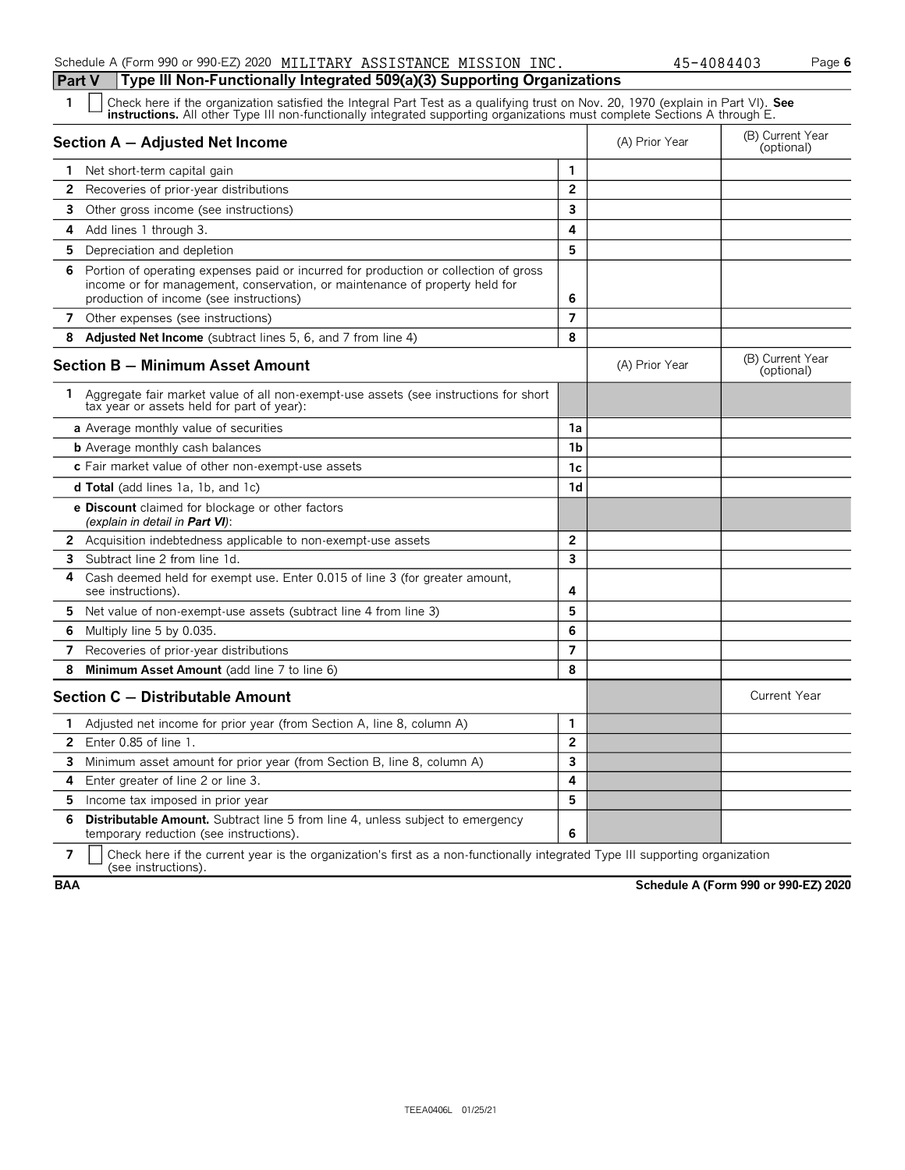## Schedule A (Form 990 or 990-EZ) 2020 MILITARY ASSISTANCE MISSION INC. 45-4084403 Page 6

#### Part V Type III Non-Functionally Integrated 509(a)(3) Supporting Organizations

1 Check here if the organization satisfied the Integral Part Test as a qualifying trust on Nov. 20, 1970 (explain in Part VI). See instructions. All other Type III non-functionally integrated supporting organizations must

|                | Section A - Adjusted Net Income                                                                                                                                                                                |                | (A) Prior Year | (B) Current Year<br>(optional) |
|----------------|----------------------------------------------------------------------------------------------------------------------------------------------------------------------------------------------------------------|----------------|----------------|--------------------------------|
|                | 1 Net short-term capital gain                                                                                                                                                                                  | $\mathbf{1}$   |                |                                |
| $\mathbf{2}^-$ | Recoveries of prior-year distributions                                                                                                                                                                         | $\overline{2}$ |                |                                |
| 3              | Other gross income (see instructions)                                                                                                                                                                          | 3              |                |                                |
| 4              | Add lines 1 through 3.                                                                                                                                                                                         | 4              |                |                                |
| 5              | Depreciation and depletion                                                                                                                                                                                     | 5              |                |                                |
| 6              | Portion of operating expenses paid or incurred for production or collection of gross<br>income or for management, conservation, or maintenance of property held for<br>production of income (see instructions) | 6              |                |                                |
|                | 7 Other expenses (see instructions)                                                                                                                                                                            | $\overline{7}$ |                |                                |
| 8              | Adjusted Net Income (subtract lines 5, 6, and 7 from line 4)                                                                                                                                                   | 8              |                |                                |
|                | <b>Section B - Minimum Asset Amount</b>                                                                                                                                                                        |                | (A) Prior Year | (B) Current Year<br>(optional) |
|                | 1 Aggregate fair market value of all non-exempt-use assets (see instructions for short<br>tax year or assets held for part of year):                                                                           |                |                |                                |
|                | a Average monthly value of securities                                                                                                                                                                          | 1a             |                |                                |
|                | <b>b</b> Average monthly cash balances                                                                                                                                                                         | 1 <sub>b</sub> |                |                                |
|                | c Fair market value of other non-exempt-use assets                                                                                                                                                             | 1c             |                |                                |
|                | <b>d Total</b> (add lines 1a, 1b, and 1c)                                                                                                                                                                      | 1d             |                |                                |
|                | e Discount claimed for blockage or other factors<br>(explain in detail in <b>Part VI</b> ):                                                                                                                    |                |                |                                |
|                | <b>2</b> Acquisition indebtedness applicable to non-exempt-use assets                                                                                                                                          | $\overline{2}$ |                |                                |
| 3              | Subtract line 2 from line 1d.                                                                                                                                                                                  | 3              |                |                                |
| 4              | Cash deemed held for exempt use. Enter 0.015 of line 3 (for greater amount,<br>see instructions).                                                                                                              | 4              |                |                                |
| 5              | Net value of non-exempt-use assets (subtract line 4 from line 3)                                                                                                                                               | 5              |                |                                |
| 6              | Multiply line 5 by 0.035.                                                                                                                                                                                      | 6              |                |                                |
| 7              | Recoveries of prior-year distributions                                                                                                                                                                         | $\overline{7}$ |                |                                |
| 8              | Minimum Asset Amount (add line 7 to line 6)                                                                                                                                                                    | 8              |                |                                |
|                | Section C - Distributable Amount                                                                                                                                                                               |                |                | <b>Current Year</b>            |
| 1.             | Adjusted net income for prior year (from Section A, line 8, column A)                                                                                                                                          | $\mathbf{1}$   |                |                                |
| $\mathbf{2}$   | Enter 0.85 of line 1.                                                                                                                                                                                          | $\overline{2}$ |                |                                |
|                | 3 Minimum asset amount for prior year (from Section B, line 8, column A)                                                                                                                                       | 3              |                |                                |
| 4              | Enter greater of line 2 or line 3.                                                                                                                                                                             | 4              |                |                                |
| 5.             | Income tax imposed in prior year                                                                                                                                                                               | 5              |                |                                |
| 6              | Distributable Amount. Subtract line 5 from line 4, unless subject to emergency<br>temporary reduction (see instructions).                                                                                      | 6              |                |                                |
|                |                                                                                                                                                                                                                |                |                |                                |

7  $\parallel$  Check here if the current year is the organization's first as a non-functionally integrated Type III supporting organization (see instructions).

BAA Schedule A (Form 990 or 990-EZ) 2020